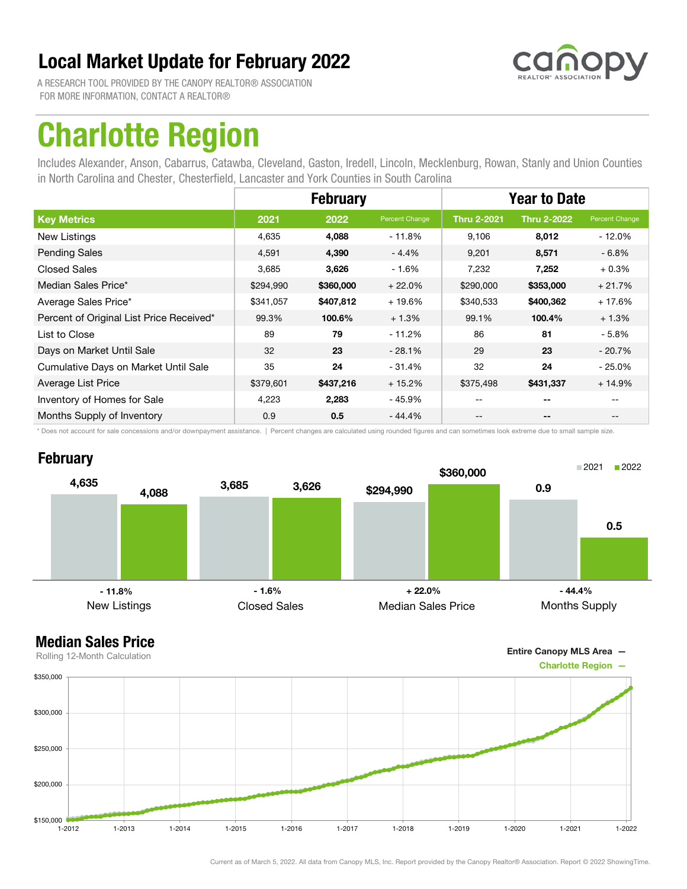

A RESEARCH TOOL PROVIDED BY THE CANOPY REALTOR® ASSOCIATION FOR MORE INFORMATION, CONTACT A REALTOR®

## Charlotte Region

Includes Alexander, Anson, Cabarrus, Catawba, Cleveland, Gaston, Iredell, Lincoln, Mecklenburg, Rowan, Stanly and Union Counties in North Carolina and Chester, Chesterfield, Lancaster and York Counties in South Carolina

|                                          | <b>February</b> |           |                | <b>Year to Date</b> |                          |                |
|------------------------------------------|-----------------|-----------|----------------|---------------------|--------------------------|----------------|
| <b>Key Metrics</b>                       | 2021            | 2022      | Percent Change | <b>Thru 2-2021</b>  | <b>Thru 2-2022</b>       | Percent Change |
| New Listings                             | 4,635           | 4,088     | $-11.8%$       | 9.106               | 8,012                    | - 12.0%        |
| <b>Pending Sales</b>                     | 4,591           | 4,390     | $-4.4%$        | 9,201               | 8,571                    | $-6.8%$        |
| <b>Closed Sales</b>                      | 3,685           | 3,626     | $-1.6%$        | 7,232               | 7,252                    | $+0.3%$        |
| Median Sales Price*                      | \$294,990       | \$360,000 | $+22.0%$       | \$290,000           | \$353,000                | $+21.7%$       |
| Average Sales Price*                     | \$341,057       | \$407,812 | $+19.6%$       | \$340,533           | \$400,362                | $+17.6%$       |
| Percent of Original List Price Received* | 99.3%           | 100.6%    | $+1.3%$        | 99.1%               | 100.4%                   | $+1.3%$        |
| List to Close                            | 89              | 79        | $-11.2%$       | 86                  | 81                       | $-5.8%$        |
| Days on Market Until Sale                | 32              | 23        | $-28.1%$       | 29                  | 23                       | $-20.7\%$      |
| Cumulative Days on Market Until Sale     | 35              | 24        | $-31.4%$       | 32                  | 24                       | $-25.0\%$      |
| Average List Price                       | \$379,601       | \$437,216 | $+15.2%$       | \$375,498           | \$431,337                | $+14.9%$       |
| Inventory of Homes for Sale              | 4,223           | 2,283     | $-45.9%$       |                     | $- -$                    |                |
| Months Supply of Inventory               | 0.9             | 0.5       | $-44.4%$       | --                  | $\overline{\phantom{a}}$ | $- -$          |

\* Does not account for sale concessions and/or downpayment assistance. | Percent changes are calculated using rounded figures and can sometimes look extreme due to small sample size.

### **February**





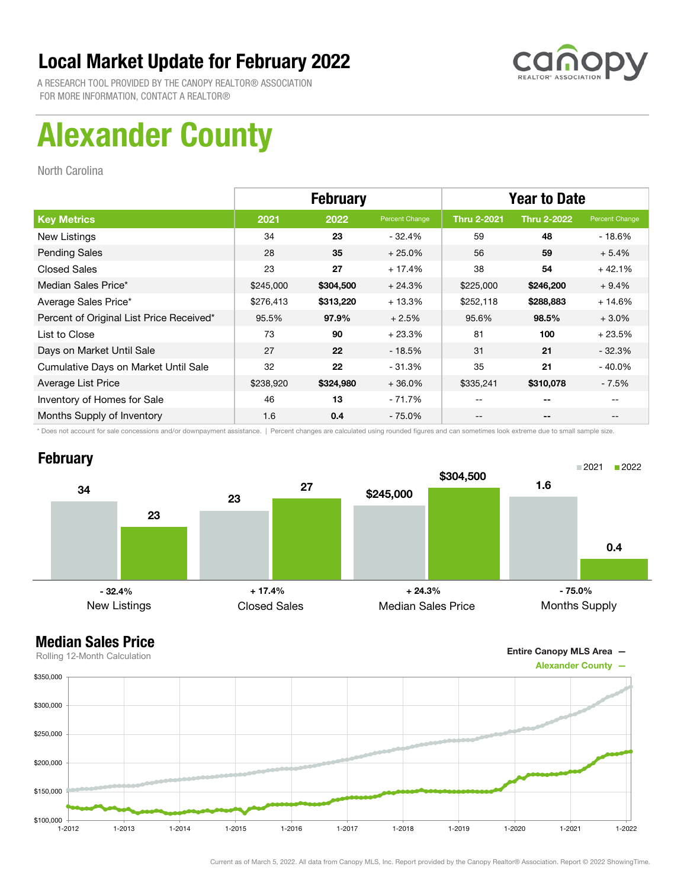

A RESEARCH TOOL PROVIDED BY THE CANOPY REALTOR® ASSOCIATION FOR MORE INFORMATION, CONTACT A REALTOR®

## Alexander County

North Carolina

|                                          | <b>February</b> |           |                | <b>Year to Date</b> |                    |                |
|------------------------------------------|-----------------|-----------|----------------|---------------------|--------------------|----------------|
| <b>Key Metrics</b>                       | 2021            | 2022      | Percent Change | <b>Thru 2-2021</b>  | <b>Thru 2-2022</b> | Percent Change |
| New Listings                             | 34              | 23        | - 32.4%        | 59                  | 48                 | $-18.6%$       |
| <b>Pending Sales</b>                     | 28              | 35        | $+25.0%$       | 56                  | 59                 | $+5.4%$        |
| <b>Closed Sales</b>                      | 23              | 27        | $+17.4%$       | 38                  | 54                 | $+42.1%$       |
| Median Sales Price*                      | \$245,000       | \$304,500 | $+24.3%$       | \$225,000           | \$246,200          | $+9.4%$        |
| Average Sales Price*                     | \$276,413       | \$313,220 | $+13.3%$       | \$252,118           | \$288,883          | $+14.6%$       |
| Percent of Original List Price Received* | 95.5%           | 97.9%     | $+2.5%$        | 95.6%               | 98.5%              | $+3.0%$        |
| List to Close                            | 73              | 90        | $+23.3%$       | 81                  | 100                | $+23.5%$       |
| Days on Market Until Sale                | 27              | 22        | $-18.5%$       | 31                  | 21                 | $-32.3%$       |
| Cumulative Days on Market Until Sale     | 32              | 22        | $-31.3%$       | 35                  | 21                 | $-40.0\%$      |
| Average List Price                       | \$238,920       | \$324,980 | $+36.0%$       | \$335,241           | \$310,078          | - 7.5%         |
| Inventory of Homes for Sale              | 46              | 13        | - 71.7%        | --                  | --                 |                |
| Months Supply of Inventory               | 1.6             | 0.4       | - 75.0%        | --                  | --                 |                |

\* Does not account for sale concessions and/or downpayment assistance. | Percent changes are calculated using rounded figures and can sometimes look extreme due to small sample size.

#### **February**



### Median Sales Price

Entire Canopy MLS Area —



Current as of March 5, 2022. All data from Canopy MLS, Inc. Report provided by the Canopy Realtor® Association. Report © 2022 ShowingTime.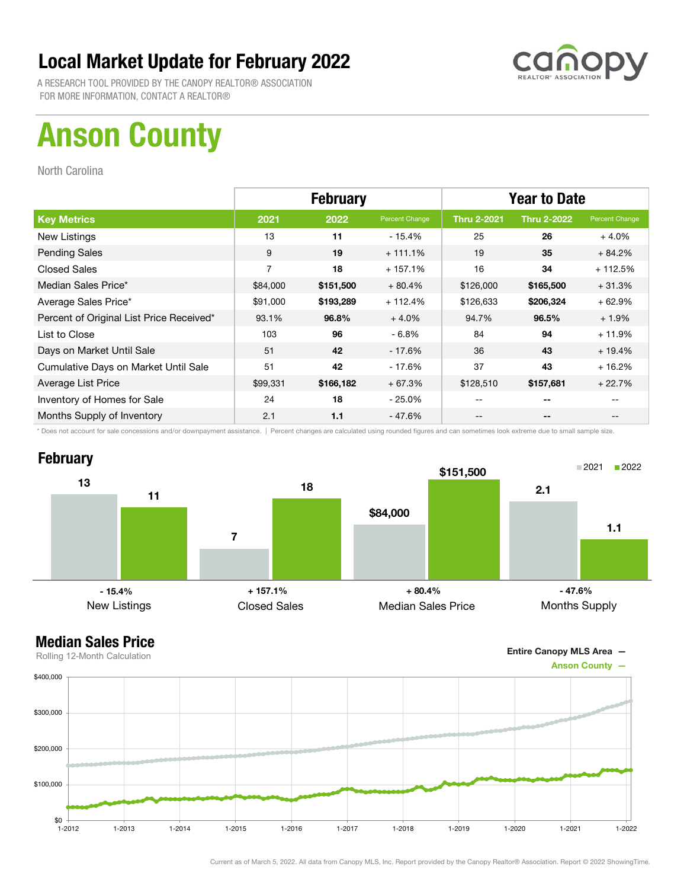

A RESEARCH TOOL PROVIDED BY THE CANOPY REALTOR® ASSOCIATION FOR MORE INFORMATION, CONTACT A REALTOR®

## Anson County

North Carolina

|                                          | <b>February</b> |           |                | <b>Year to Date</b> |                    |                |
|------------------------------------------|-----------------|-----------|----------------|---------------------|--------------------|----------------|
| <b>Key Metrics</b>                       | 2021            | 2022      | Percent Change | <b>Thru 2-2021</b>  | <b>Thru 2-2022</b> | Percent Change |
| New Listings                             | 13              | 11        | - 15.4%        | 25                  | 26                 | $+4.0%$        |
| <b>Pending Sales</b>                     | 9               | 19        | $+111.1%$      | 19                  | 35                 | $+84.2%$       |
| <b>Closed Sales</b>                      | $\overline{7}$  | 18        | $+157.1%$      | 16                  | 34                 | $+112.5%$      |
| Median Sales Price*                      | \$84,000        | \$151,500 | $+80.4%$       | \$126,000           | \$165,500          | $+31.3%$       |
| Average Sales Price*                     | \$91,000        | \$193,289 | $+112.4%$      | \$126,633           | \$206,324          | $+62.9%$       |
| Percent of Original List Price Received* | 93.1%           | 96.8%     | $+4.0%$        | 94.7%               | 96.5%              | $+1.9%$        |
| List to Close                            | 103             | 96        | $-6.8%$        | 84                  | 94                 | $+11.9%$       |
| Days on Market Until Sale                | 51              | 42        | - 17.6%        | 36                  | 43                 | $+19.4%$       |
| Cumulative Days on Market Until Sale     | 51              | 42        | $-17.6%$       | 37                  | 43                 | $+16.2%$       |
| Average List Price                       | \$99,331        | \$166,182 | $+67.3%$       | \$128,510           | \$157,681          | $+22.7%$       |
| Inventory of Homes for Sale              | 24              | 18        | $-25.0\%$      | --                  | --                 |                |
| Months Supply of Inventory               | 2.1             | 1.1       | - 47.6%        | --                  | --                 |                |

\* Does not account for sale concessions and/or downpayment assistance. | Percent changes are calculated using rounded figures and can sometimes look extreme due to small sample size.

## **February**



Entire Canopy MLS Area —

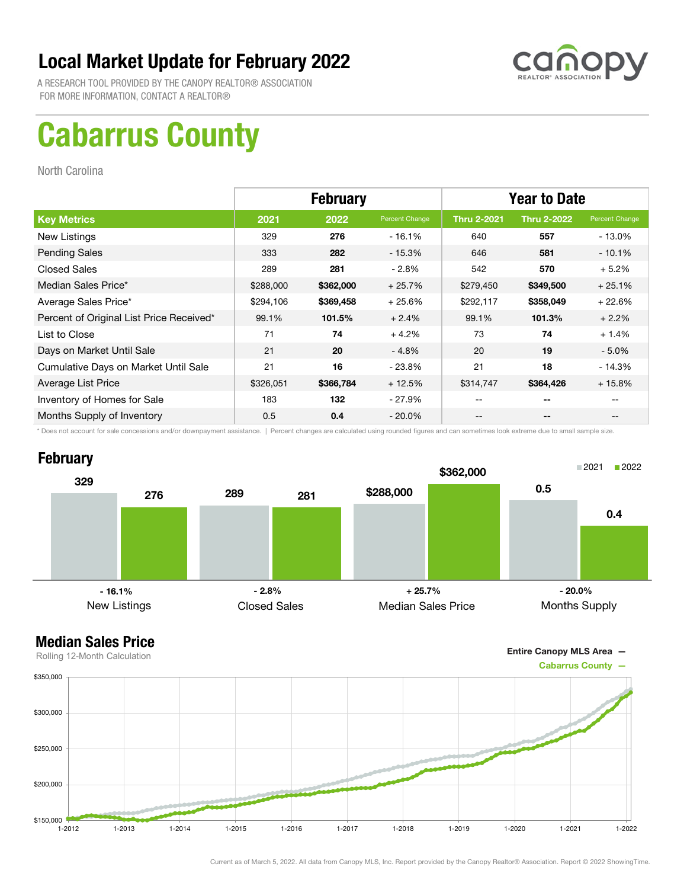

A RESEARCH TOOL PROVIDED BY THE CANOPY REALTOR® ASSOCIATION FOR MORE INFORMATION, CONTACT A REALTOR®

## Cabarrus County

North Carolina

|                                          | <b>February</b> |           |                | <b>Year to Date</b> |                    |                |
|------------------------------------------|-----------------|-----------|----------------|---------------------|--------------------|----------------|
| <b>Key Metrics</b>                       | 2021            | 2022      | Percent Change | <b>Thru 2-2021</b>  | <b>Thru 2-2022</b> | Percent Change |
| New Listings                             | 329             | 276       | $-16.1%$       | 640                 | 557                | - 13.0%        |
| <b>Pending Sales</b>                     | 333             | 282       | $-15.3%$       | 646                 | 581                | $-10.1%$       |
| <b>Closed Sales</b>                      | 289             | 281       | $-2.8\%$       | 542                 | 570                | $+5.2%$        |
| Median Sales Price*                      | \$288,000       | \$362,000 | $+25.7%$       | \$279,450           | \$349,500          | $+25.1%$       |
| Average Sales Price*                     | \$294,106       | \$369,458 | $+25.6%$       | \$292,117           | \$358,049          | $+22.6%$       |
| Percent of Original List Price Received* | 99.1%           | 101.5%    | $+2.4%$        | 99.1%               | 101.3%             | $+2.2%$        |
| List to Close                            | 71              | 74        | $+4.2%$        | 73                  | 74                 | $+1.4%$        |
| Days on Market Until Sale                | 21              | 20        | $-4.8%$        | 20                  | 19                 | $-5.0\%$       |
| Cumulative Days on Market Until Sale     | 21              | 16        | $-23.8%$       | 21                  | 18                 | $-14.3%$       |
| Average List Price                       | \$326,051       | \$366,784 | $+12.5%$       | \$314,747           | \$364,426          | $+15.8%$       |
| Inventory of Homes for Sale              | 183             | 132       | - 27.9%        | --                  | --                 |                |
| Months Supply of Inventory               | 0.5             | 0.4       | $-20.0\%$      | --                  | --                 | $- -$          |

\* Does not account for sale concessions and/or downpayment assistance. | Percent changes are calculated using rounded figures and can sometimes look extreme due to small sample size.



Entire Canopy MLS Area —

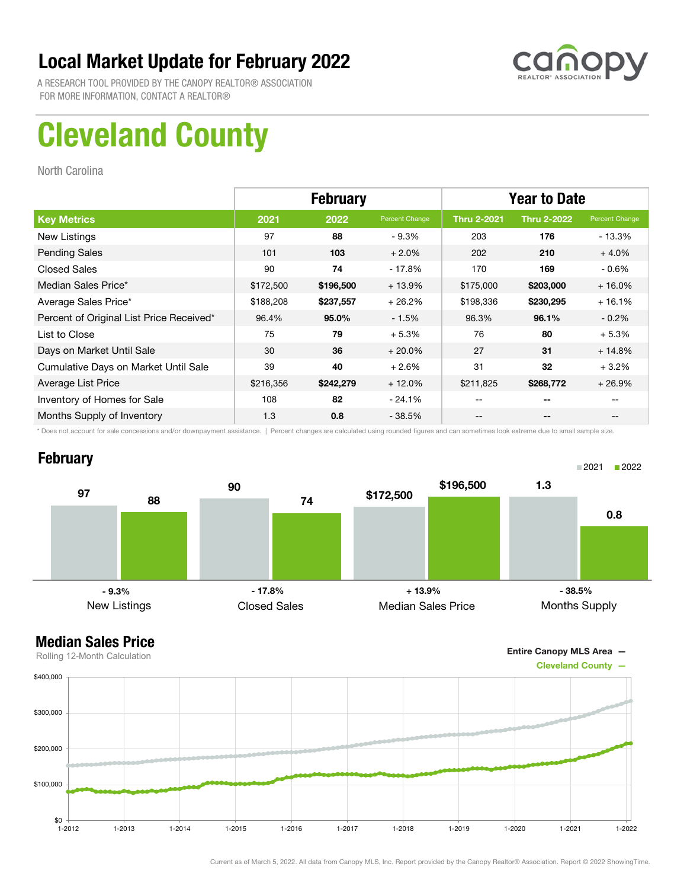

A RESEARCH TOOL PROVIDED BY THE CANOPY REALTOR® ASSOCIATION FOR MORE INFORMATION, CONTACT A REALTOR®

## Cleveland County

North Carolina

|                                          |           | <b>February</b> |                | <b>Year to Date</b> |                    |                |
|------------------------------------------|-----------|-----------------|----------------|---------------------|--------------------|----------------|
| <b>Key Metrics</b>                       | 2021      | 2022            | Percent Change | <b>Thru 2-2021</b>  | <b>Thru 2-2022</b> | Percent Change |
| New Listings                             | 97        | 88              | $-9.3\%$       | 203                 | 176                | - 13.3%        |
| <b>Pending Sales</b>                     | 101       | 103             | $+2.0%$        | 202                 | 210                | $+4.0%$        |
| <b>Closed Sales</b>                      | 90        | 74              | $-17.8%$       | 170                 | 169                | $-0.6%$        |
| Median Sales Price*                      | \$172,500 | \$196,500       | $+13.9%$       | \$175,000           | \$203,000          | $+16.0%$       |
| Average Sales Price*                     | \$188,208 | \$237,557       | $+26.2%$       | \$198,336           | \$230,295          | $+16.1%$       |
| Percent of Original List Price Received* | 96.4%     | 95.0%           | $-1.5%$        | 96.3%               | 96.1%              | $-0.2\%$       |
| List to Close                            | 75        | 79              | $+5.3%$        | 76                  | 80                 | $+5.3%$        |
| Days on Market Until Sale                | 30        | 36              | $+20.0%$       | 27                  | 31                 | $+14.8%$       |
| Cumulative Days on Market Until Sale     | 39        | 40              | $+2.6%$        | 31                  | 32                 | $+3.2%$        |
| Average List Price                       | \$216,356 | \$242,279       | $+12.0%$       | \$211,825           | \$268,772          | $+26.9%$       |
| Inventory of Homes for Sale              | 108       | 82              | $-24.1%$       | --                  | --                 |                |
| Months Supply of Inventory               | 1.3       | 0.8             | $-38.5%$       | --                  | --                 |                |

\* Does not account for sale concessions and/or downpayment assistance. | Percent changes are calculated using rounded figures and can sometimes look extreme due to small sample size.

#### **February**



Entire Canopy MLS Area —

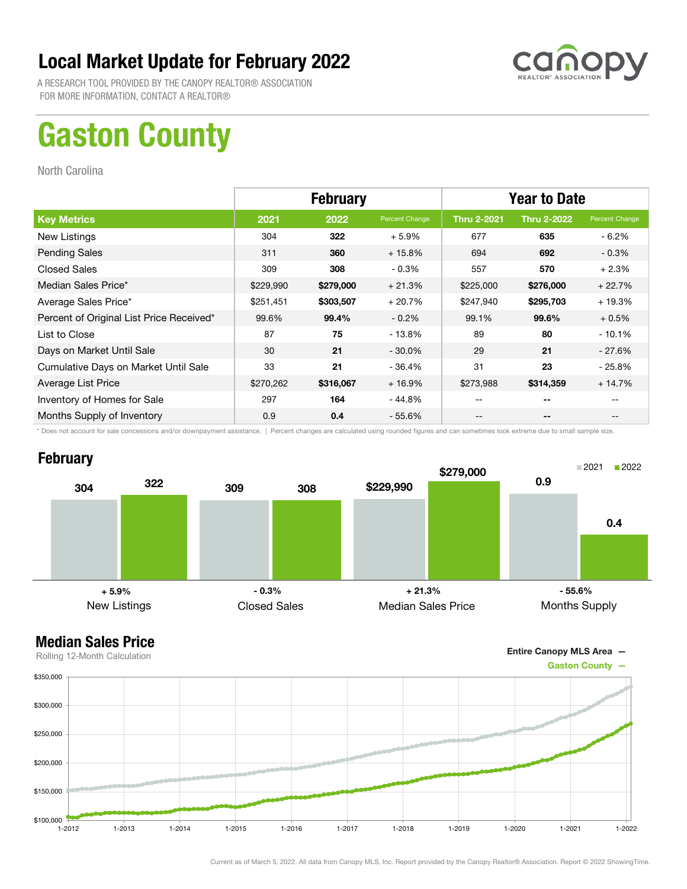

A RESEARCH TOOL PROVIDED BY THE CANOPY REALTOR® ASSOCIATION FOR MORE INFORMATION, CONTACT A REALTOR®

## Gaston County

North Carolina

|                                          | <b>February</b> |           |                | <b>Year to Date</b> |                    |                |
|------------------------------------------|-----------------|-----------|----------------|---------------------|--------------------|----------------|
| <b>Key Metrics</b>                       | 2021            | 2022      | Percent Change | <b>Thru 2-2021</b>  | <b>Thru 2-2022</b> | Percent Change |
| New Listings                             | 304             | 322       | $+5.9%$        | 677                 | 635                | $-6.2\%$       |
| <b>Pending Sales</b>                     | 311             | 360       | $+15.8%$       | 694                 | 692                | $-0.3\%$       |
| <b>Closed Sales</b>                      | 309             | 308       | $-0.3%$        | 557                 | 570                | $+2.3%$        |
| Median Sales Price*                      | \$229,990       | \$279,000 | $+21.3%$       | \$225,000           | \$276,000          | $+22.7%$       |
| Average Sales Price*                     | \$251,451       | \$303,507 | $+20.7%$       | \$247,940           | \$295,703          | $+19.3%$       |
| Percent of Original List Price Received* | 99.6%           | 99.4%     | $-0.2\%$       | 99.1%               | 99.6%              | $+0.5%$        |
| List to Close                            | 87              | 75        | - 13.8%        | 89                  | 80                 | $-10.1%$       |
| Days on Market Until Sale                | 30              | 21        | $-30.0\%$      | 29                  | 21                 | - 27.6%        |
| Cumulative Days on Market Until Sale     | 33              | 21        | $-36.4%$       | 31                  | 23                 | $-25.8\%$      |
| Average List Price                       | \$270,262       | \$316,067 | $+16.9%$       | \$273,988           | \$314,359          | $+14.7%$       |
| Inventory of Homes for Sale              | 297             | 164       | - 44.8%        | --                  | --                 |                |
| Months Supply of Inventory               | 0.9             | 0.4       | $-55.6\%$      | --                  | --                 |                |

\* Does not account for sale concessions and/or downpayment assistance. | Percent changes are calculated using rounded figures and can sometimes look extreme due to small sample size.

#### **February**



Entire Canopy MLS Area —

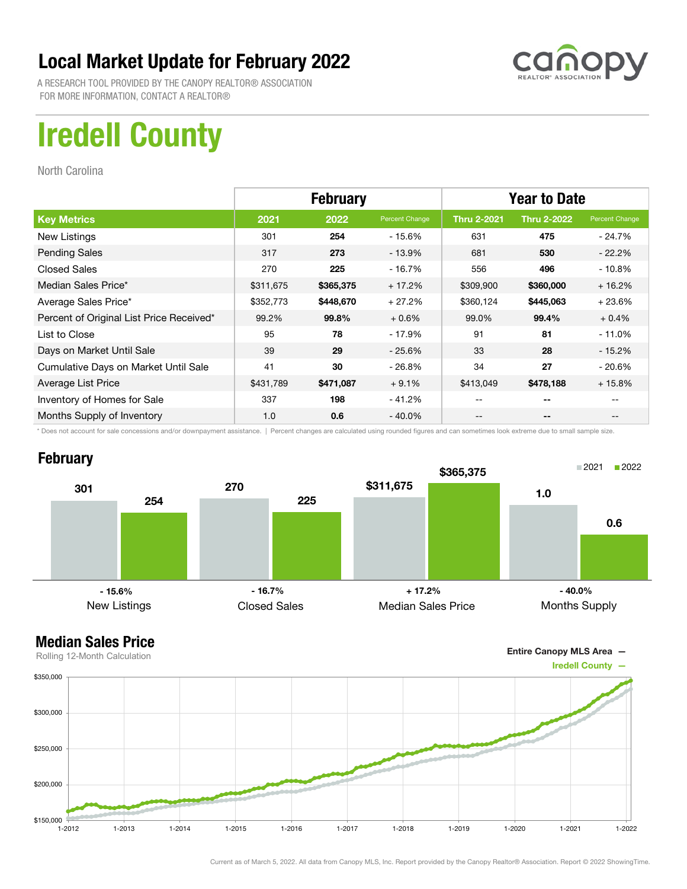

A RESEARCH TOOL PROVIDED BY THE CANOPY REALTOR® ASSOCIATION FOR MORE INFORMATION, CONTACT A REALTOR®

## Iredell County

North Carolina

|                                          | <b>February</b> |           |                | <b>Year to Date</b> |                          |                |
|------------------------------------------|-----------------|-----------|----------------|---------------------|--------------------------|----------------|
| <b>Key Metrics</b>                       | 2021            | 2022      | Percent Change | <b>Thru 2-2021</b>  | <b>Thru 2-2022</b>       | Percent Change |
| New Listings                             | 301             | 254       | $-15.6%$       | 631                 | 475                      | - 24.7%        |
| <b>Pending Sales</b>                     | 317             | 273       | $-13.9%$       | 681                 | 530                      | $-22.2%$       |
| <b>Closed Sales</b>                      | 270             | 225       | $-16.7%$       | 556                 | 496                      | $-10.8\%$      |
| Median Sales Price*                      | \$311,675       | \$365,375 | $+17.2%$       | \$309,900           | \$360,000                | $+16.2%$       |
| Average Sales Price*                     | \$352,773       | \$448,670 | $+27.2%$       | \$360,124           | \$445,063                | $+23.6%$       |
| Percent of Original List Price Received* | 99.2%           | 99.8%     | $+0.6%$        | 99.0%               | 99.4%                    | $+0.4%$        |
| List to Close                            | 95              | 78        | $-17.9%$       | 91                  | 81                       | $-11.0\%$      |
| Days on Market Until Sale                | 39              | 29        | $-25.6%$       | 33                  | 28                       | - 15.2%        |
| Cumulative Days on Market Until Sale     | 41              | 30        | $-26.8%$       | 34                  | 27                       | - 20.6%        |
| Average List Price                       | \$431,789       | \$471,087 | $+9.1%$        | \$413,049           | \$478,188                | $+15.8%$       |
| Inventory of Homes for Sale              | 337             | 198       | $-41.2%$       |                     | --                       |                |
| Months Supply of Inventory               | 1.0             | 0.6       | $-40.0\%$      | --                  | $\overline{\phantom{m}}$ |                |

\* Does not account for sale concessions and/or downpayment assistance. | Percent changes are calculated using rounded figures and can sometimes look extreme due to small sample size.

### **February**





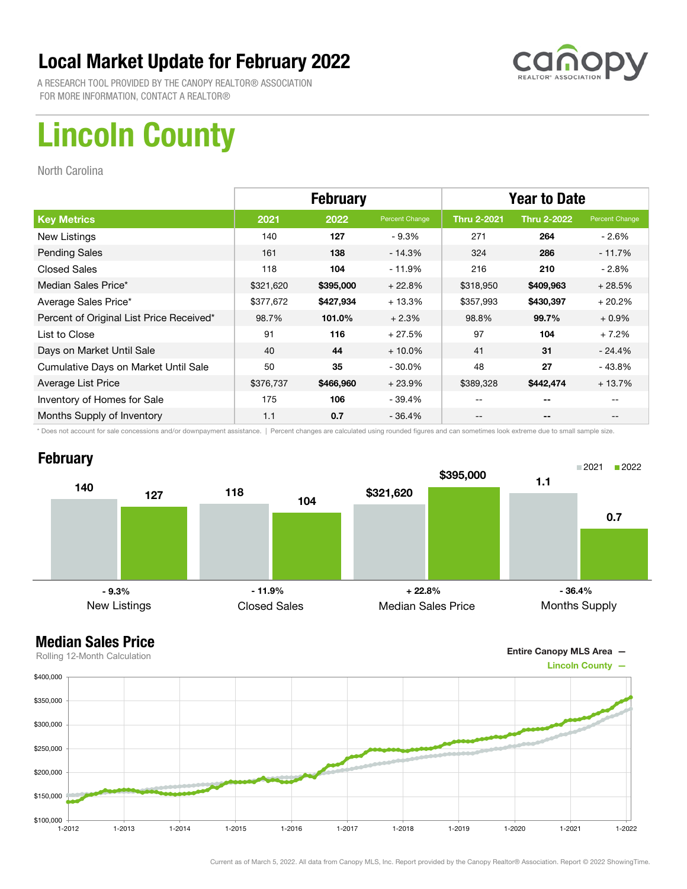

A RESEARCH TOOL PROVIDED BY THE CANOPY REALTOR® ASSOCIATION FOR MORE INFORMATION, CONTACT A REALTOR®

## Lincoln County

North Carolina

|                                          | <b>February</b> |           |                | <b>Year to Date</b> |                    |                |
|------------------------------------------|-----------------|-----------|----------------|---------------------|--------------------|----------------|
| <b>Key Metrics</b>                       | 2021            | 2022      | Percent Change | <b>Thru 2-2021</b>  | <b>Thru 2-2022</b> | Percent Change |
| New Listings                             | 140             | 127       | $-9.3%$        | 271                 | 264                | - 2.6%         |
| <b>Pending Sales</b>                     | 161             | 138       | $-14.3%$       | 324                 | 286                | $-11.7%$       |
| <b>Closed Sales</b>                      | 118             | 104       | $-11.9%$       | 216                 | 210                | $-2.8%$        |
| Median Sales Price*                      | \$321,620       | \$395,000 | $+22.8%$       | \$318,950           | \$409,963          | $+28.5%$       |
| Average Sales Price*                     | \$377,672       | \$427,934 | $+13.3%$       | \$357,993           | \$430,397          | $+20.2%$       |
| Percent of Original List Price Received* | 98.7%           | 101.0%    | $+2.3%$        | 98.8%               | 99.7%              | $+0.9%$        |
| List to Close                            | 91              | 116       | $+27.5%$       | 97                  | 104                | $+7.2%$        |
| Days on Market Until Sale                | 40              | 44        | $+10.0\%$      | 41                  | 31                 | - 24.4%        |
| Cumulative Days on Market Until Sale     | 50              | 35        | $-30.0\%$      | 48                  | 27                 | $-43.8%$       |
| Average List Price                       | \$376,737       | \$466,960 | $+23.9%$       | \$389,328           | \$442,474          | $+13.7%$       |
| Inventory of Homes for Sale              | 175             | 106       | - 39.4%        | --                  | --                 |                |
| Months Supply of Inventory               | 1.1             | 0.7       | $-36.4%$       | --                  | --                 |                |

\* Does not account for sale concessions and/or downpayment assistance. | Percent changes are calculated using rounded figures and can sometimes look extreme due to small sample size.

### **February**



#### Median Sales Price

Entire Canopy MLS Area —



Current as of March 5, 2022. All data from Canopy MLS, Inc. Report provided by the Canopy Realtor® Association. Report © 2022 ShowingTime.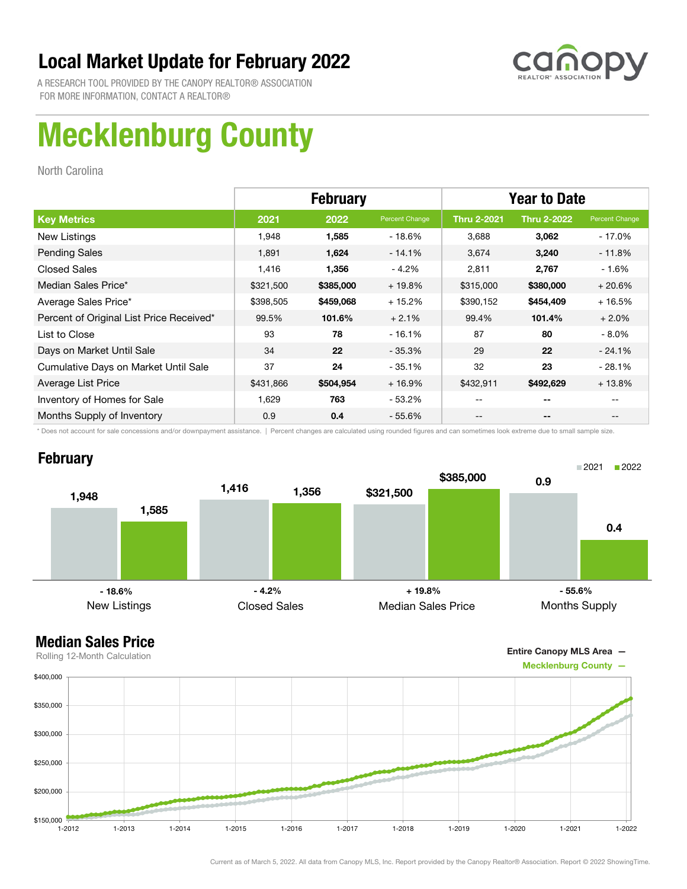

A RESEARCH TOOL PROVIDED BY THE CANOPY REALTOR® ASSOCIATION FOR MORE INFORMATION, CONTACT A REALTOR®

## Mecklenburg County

North Carolina

|                                          | <b>February</b> |           |                | <b>Year to Date</b> |                    |                |
|------------------------------------------|-----------------|-----------|----------------|---------------------|--------------------|----------------|
| <b>Key Metrics</b>                       | 2021            | 2022      | Percent Change | <b>Thru 2-2021</b>  | <b>Thru 2-2022</b> | Percent Change |
| New Listings                             | 1,948           | 1,585     | - 18.6%        | 3,688               | 3,062              | - 17.0%        |
| <b>Pending Sales</b>                     | 1,891           | 1,624     | $-14.1%$       | 3,674               | 3,240              | $-11.8%$       |
| <b>Closed Sales</b>                      | 1,416           | 1,356     | $-4.2%$        | 2,811               | 2,767              | $-1.6%$        |
| Median Sales Price*                      | \$321,500       | \$385,000 | $+19.8%$       | \$315,000           | \$380,000          | $+20.6%$       |
| Average Sales Price*                     | \$398,505       | \$459,068 | $+15.2%$       | \$390,152           | \$454,409          | $+16.5%$       |
| Percent of Original List Price Received* | 99.5%           | 101.6%    | $+2.1%$        | 99.4%               | 101.4%             | $+2.0%$        |
| List to Close                            | 93              | 78        | $-16.1%$       | 87                  | 80                 | - 8.0%         |
| Days on Market Until Sale                | 34              | 22        | $-35.3\%$      | 29                  | 22                 | $-24.1%$       |
| Cumulative Days on Market Until Sale     | 37              | 24        | $-35.1%$       | 32                  | 23                 | $-28.1%$       |
| Average List Price                       | \$431,866       | \$504,954 | $+16.9%$       | \$432,911           | \$492,629          | $+13.8%$       |
| Inventory of Homes for Sale              | 1,629           | 763       | - 53.2%        | --                  | --                 |                |
| Months Supply of Inventory               | 0.9             | 0.4       | - 55.6%        | --                  | --                 | $- -$          |

\* Does not account for sale concessions and/or downpayment assistance. | Percent changes are calculated using rounded figures and can sometimes look extreme due to small sample size.

#### **February**



Entire Canopy MLS Area —

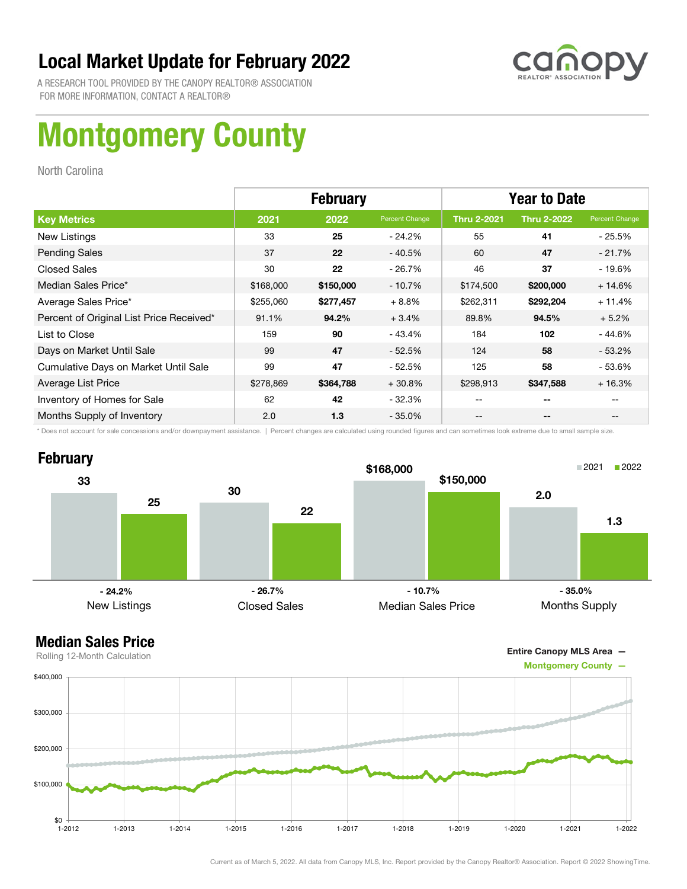

A RESEARCH TOOL PROVIDED BY THE CANOPY REALTOR® ASSOCIATION FOR MORE INFORMATION, CONTACT A REALTOR®

# Montgomery County

North Carolina

|                                          |           | <b>February</b> |                | <b>Year to Date</b> |                    |                |
|------------------------------------------|-----------|-----------------|----------------|---------------------|--------------------|----------------|
| <b>Key Metrics</b>                       | 2021      | 2022            | Percent Change | <b>Thru 2-2021</b>  | <b>Thru 2-2022</b> | Percent Change |
| New Listings                             | 33        | 25              | - 24.2%        | 55                  | 41                 | - 25.5%        |
| <b>Pending Sales</b>                     | 37        | 22              | $-40.5%$       | 60                  | 47                 | $-21.7%$       |
| <b>Closed Sales</b>                      | 30        | 22              | $-26.7%$       | 46                  | 37                 | $-19.6%$       |
| Median Sales Price*                      | \$168,000 | \$150,000       | $-10.7%$       | \$174,500           | \$200,000          | $+14.6%$       |
| Average Sales Price*                     | \$255,060 | \$277,457       | $+8.8%$        | \$262,311           | \$292,204          | $+11.4%$       |
| Percent of Original List Price Received* | 91.1%     | 94.2%           | $+3.4%$        | 89.8%               | 94.5%              | $+5.2%$        |
| List to Close                            | 159       | 90              | $-43.4%$       | 184                 | 102                | $-44.6%$       |
| Days on Market Until Sale                | 99        | 47              | $-52.5%$       | 124                 | 58                 | $-53.2\%$      |
| Cumulative Days on Market Until Sale     | 99        | 47              | $-52.5%$       | 125                 | 58                 | $-53.6%$       |
| Average List Price                       | \$278,869 | \$364,788       | $+30.8%$       | \$298,913           | \$347,588          | $+16.3%$       |
| Inventory of Homes for Sale              | 62        | 42              | $-32.3%$       | --                  | --                 |                |
| Months Supply of Inventory               | 2.0       | 1.3             | - 35.0%        | --                  | --                 | $- -$          |

\* Does not account for sale concessions and/or downpayment assistance. | Percent changes are calculated using rounded figures and can sometimes look extreme due to small sample size.





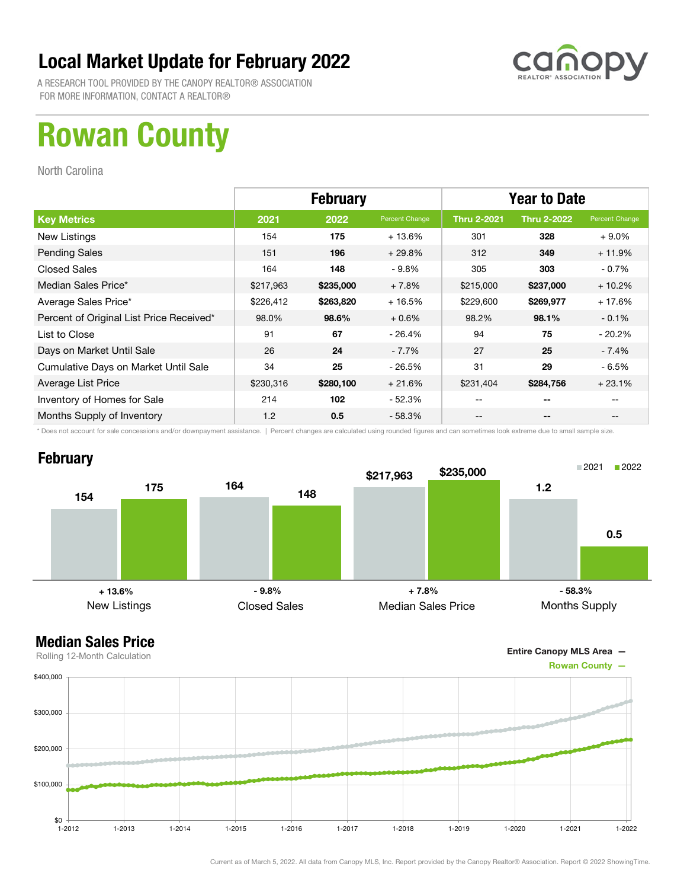

A RESEARCH TOOL PROVIDED BY THE CANOPY REALTOR® ASSOCIATION FOR MORE INFORMATION, CONTACT A REALTOR®

## Rowan County

North Carolina

|                                          | <b>February</b> |           |                | <b>Year to Date</b> |                          |                |
|------------------------------------------|-----------------|-----------|----------------|---------------------|--------------------------|----------------|
| <b>Key Metrics</b>                       | 2021            | 2022      | Percent Change | <b>Thru 2-2021</b>  | <b>Thru 2-2022</b>       | Percent Change |
| New Listings                             | 154             | 175       | $+13.6%$       | 301                 | 328                      | $+9.0\%$       |
| <b>Pending Sales</b>                     | 151             | 196       | $+29.8%$       | 312                 | 349                      | $+11.9%$       |
| <b>Closed Sales</b>                      | 164             | 148       | $-9.8%$        | 305                 | 303                      | $-0.7%$        |
| Median Sales Price*                      | \$217,963       | \$235,000 | $+7.8%$        | \$215,000           | \$237,000                | $+10.2%$       |
| Average Sales Price*                     | \$226,412       | \$263,820 | $+16.5%$       | \$229,600           | \$269,977                | $+17.6%$       |
| Percent of Original List Price Received* | 98.0%           | 98.6%     | $+0.6%$        | 98.2%               | 98.1%                    | $-0.1%$        |
| List to Close                            | 91              | 67        | $-26.4%$       | 94                  | 75                       | $-20.2\%$      |
| Days on Market Until Sale                | 26              | 24        | $-7.7%$        | 27                  | 25                       | - 7.4%         |
| Cumulative Days on Market Until Sale     | 34              | 25        | $-26.5%$       | 31                  | 29                       | - 6.5%         |
| Average List Price                       | \$230,316       | \$280,100 | $+21.6%$       | \$231,404           | \$284,756                | $+23.1%$       |
| Inventory of Homes for Sale              | 214             | 102       | $-52.3%$       | --                  | $- -$                    |                |
| Months Supply of Inventory               | 1.2             | 0.5       | - 58.3%        | --                  | $\overline{\phantom{a}}$ | $- -$          |

\* Does not account for sale concessions and/or downpayment assistance. | Percent changes are calculated using rounded figures and can sometimes look extreme due to small sample size.

#### **February**



Entire Canopy MLS Area —

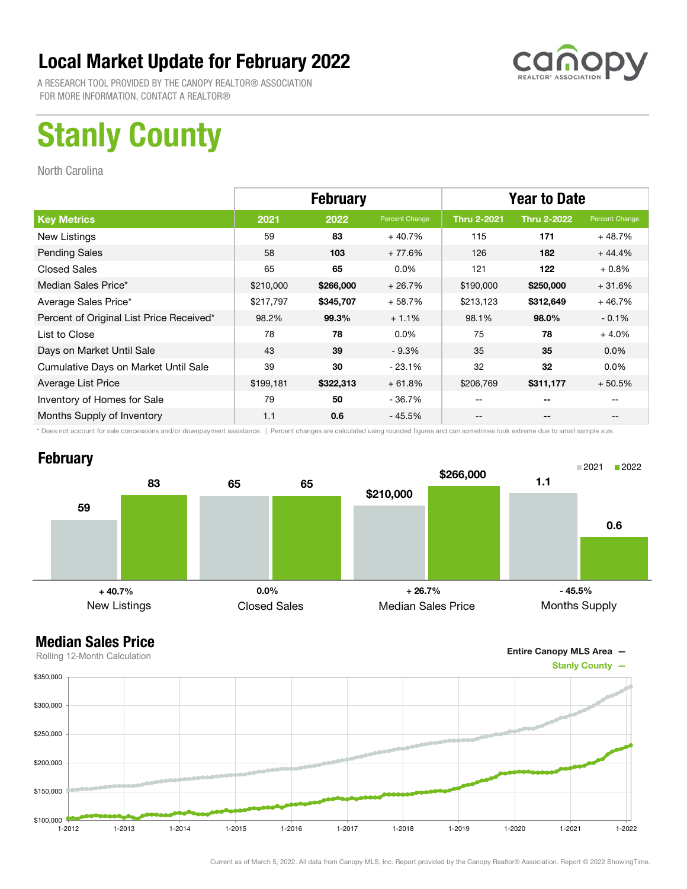

A RESEARCH TOOL PROVIDED BY THE CANOPY REALTOR® ASSOCIATION FOR MORE INFORMATION, CONTACT A REALTOR®

## Stanly County

North Carolina

|                                          | <b>February</b> |           |                | <b>Year to Date</b> |                    |                |
|------------------------------------------|-----------------|-----------|----------------|---------------------|--------------------|----------------|
| <b>Key Metrics</b>                       | 2021            | 2022      | Percent Change | <b>Thru 2-2021</b>  | <b>Thru 2-2022</b> | Percent Change |
| New Listings                             | 59              | 83        | $+40.7%$       | 115                 | 171                | $+48.7%$       |
| <b>Pending Sales</b>                     | 58              | 103       | $+77.6%$       | 126                 | 182                | $+44.4%$       |
| <b>Closed Sales</b>                      | 65              | 65        | $0.0\%$        | 121                 | 122                | $+0.8%$        |
| Median Sales Price*                      | \$210,000       | \$266,000 | $+26.7%$       | \$190,000           | \$250,000          | $+31.6%$       |
| Average Sales Price*                     | \$217,797       | \$345,707 | $+58.7%$       | \$213,123           | \$312,649          | $+46.7%$       |
| Percent of Original List Price Received* | 98.2%           | 99.3%     | $+1.1%$        | 98.1%               | 98.0%              | $-0.1%$        |
| List to Close                            | 78              | 78        | $0.0\%$        | 75                  | 78                 | $+4.0%$        |
| Days on Market Until Sale                | 43              | 39        | $-9.3%$        | 35                  | 35                 | $0.0\%$        |
| Cumulative Days on Market Until Sale     | 39              | 30        | $-23.1%$       | 32                  | 32                 | $0.0\%$        |
| Average List Price                       | \$199,181       | \$322,313 | $+61.8%$       | \$206,769           | \$311,177          | $+50.5%$       |
| Inventory of Homes for Sale              | 79              | 50        | - 36.7%        | --                  | --                 |                |
| Months Supply of Inventory               | 1.1             | 0.6       | $-45.5%$       | --                  | --                 |                |

\* Does not account for sale concessions and/or downpayment assistance. | Percent changes are calculated using rounded figures and can sometimes look extreme due to small sample size.

#### **February**



Entire Canopy MLS Area —

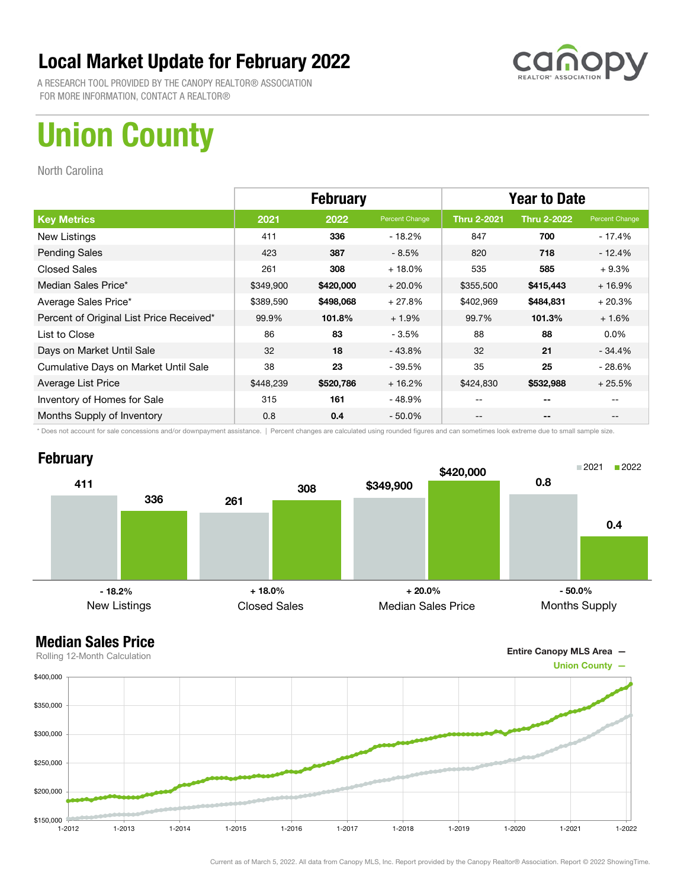

A RESEARCH TOOL PROVIDED BY THE CANOPY REALTOR® ASSOCIATION FOR MORE INFORMATION, CONTACT A REALTOR®

## Union County

North Carolina

|                                          | <b>February</b> |           |                | <b>Year to Date</b> |                    |                |
|------------------------------------------|-----------------|-----------|----------------|---------------------|--------------------|----------------|
| <b>Key Metrics</b>                       | 2021            | 2022      | Percent Change | <b>Thru 2-2021</b>  | <b>Thru 2-2022</b> | Percent Change |
| New Listings                             | 411             | 336       | $-18.2\%$      | 847                 | 700                | - 17.4%        |
| <b>Pending Sales</b>                     | 423             | 387       | $-8.5%$        | 820                 | 718                | $-12.4%$       |
| <b>Closed Sales</b>                      | 261             | 308       | $+18.0%$       | 535                 | 585                | $+9.3%$        |
| Median Sales Price*                      | \$349,900       | \$420,000 | $+20.0%$       | \$355,500           | \$415,443          | $+16.9%$       |
| Average Sales Price*                     | \$389,590       | \$498,068 | $+27.8%$       | \$402,969           | \$484,831          | $+20.3%$       |
| Percent of Original List Price Received* | 99.9%           | 101.8%    | $+1.9%$        | 99.7%               | 101.3%             | $+1.6%$        |
| List to Close                            | 86              | 83        | $-3.5%$        | 88                  | 88                 | $0.0\%$        |
| Days on Market Until Sale                | 32              | 18        | $-43.8%$       | 32                  | 21                 | $-34.4\%$      |
| Cumulative Days on Market Until Sale     | 38              | 23        | $-39.5%$       | 35                  | 25                 | $-28.6%$       |
| Average List Price                       | \$448,239       | \$520,786 | $+16.2%$       | \$424,830           | \$532,988          | $+25.5%$       |
| Inventory of Homes for Sale              | 315             | 161       | - 48.9%        | --                  | --                 |                |
| Months Supply of Inventory               | 0.8             | 0.4       | $-50.0\%$      | --                  | --                 |                |

\* Does not account for sale concessions and/or downpayment assistance. | Percent changes are calculated using rounded figures and can sometimes look extreme due to small sample size.

### **February**





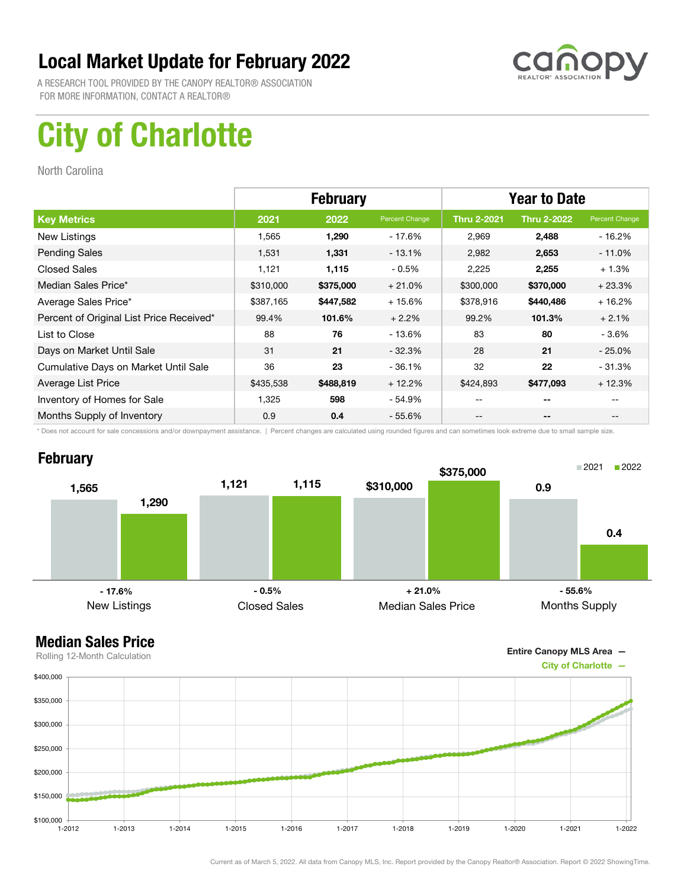

A RESEARCH TOOL PROVIDED BY THE CANOPY REALTOR® ASSOCIATION FOR MORE INFORMATION, CONTACT A REALTOR®

## City of Charlotte

North Carolina

|                                          | <b>February</b> |           |                | <b>Year to Date</b> |                    |                |
|------------------------------------------|-----------------|-----------|----------------|---------------------|--------------------|----------------|
| <b>Key Metrics</b>                       | 2021            | 2022      | Percent Change | <b>Thru 2-2021</b>  | <b>Thru 2-2022</b> | Percent Change |
| New Listings                             | 1,565           | 1,290     | - 17.6%        | 2,969               | 2,488              | - 16.2%        |
| <b>Pending Sales</b>                     | 1,531           | 1,331     | $-13.1%$       | 2,982               | 2,653              | $-11.0\%$      |
| <b>Closed Sales</b>                      | 1,121           | 1,115     | $-0.5%$        | 2,225               | 2,255              | $+1.3%$        |
| Median Sales Price*                      | \$310,000       | \$375,000 | $+21.0%$       | \$300,000           | \$370,000          | $+23.3%$       |
| Average Sales Price*                     | \$387,165       | \$447,582 | $+15.6%$       | \$378,916           | \$440,486          | $+16.2%$       |
| Percent of Original List Price Received* | 99.4%           | 101.6%    | $+2.2%$        | 99.2%               | 101.3%             | $+2.1%$        |
| List to Close                            | 88              | 76        | $-13.6\%$      | 83                  | 80                 | - 3.6%         |
| Days on Market Until Sale                | 31              | 21        | $-32.3%$       | 28                  | 21                 | $-25.0\%$      |
| Cumulative Days on Market Until Sale     | 36              | 23        | $-36.1%$       | 32                  | 22                 | $-31.3%$       |
| Average List Price                       | \$435,538       | \$488,819 | $+12.2%$       | \$424,893           | \$477,093          | $+12.3%$       |
| Inventory of Homes for Sale              | 1,325           | 598       | - 54.9%        | --                  | --                 |                |
| Months Supply of Inventory               | 0.9             | 0.4       | $-55.6\%$      | --                  | --                 |                |

\* Does not account for sale concessions and/or downpayment assistance. | Percent changes are calculated using rounded figures and can sometimes look extreme due to small sample size.

### **February**



Entire Canopy MLS Area —

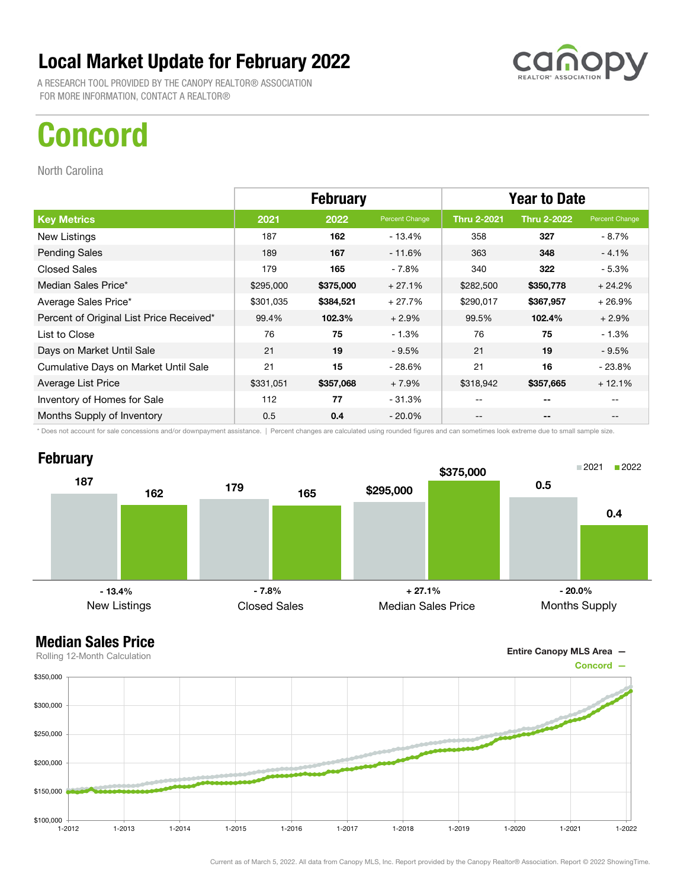A RESEARCH TOOL PROVIDED BY THE CANOPY REALTOR® ASSOCIATION FOR MORE INFORMATION, CONTACT A REALTOR®

## Concord

North Carolina

**February** 

187

162

|                                          | <b>February</b> |           |                | <b>Year to Date</b> |                          |                                       |
|------------------------------------------|-----------------|-----------|----------------|---------------------|--------------------------|---------------------------------------|
| <b>Key Metrics</b>                       | 2021            | 2022      | Percent Change | <b>Thru 2-2021</b>  | <b>Thru 2-2022</b>       | Percent Change                        |
| New Listings                             | 187             | 162       | $-13.4%$       | 358                 | 327                      | - 8.7%                                |
| <b>Pending Sales</b>                     | 189             | 167       | $-11.6%$       | 363                 | 348                      | $-4.1%$                               |
| Closed Sales                             | 179             | 165       | - 7.8%         | 340                 | 322                      | - 5.3%                                |
| Median Sales Price*                      | \$295,000       | \$375,000 | $+27.1%$       | \$282,500           | \$350,778                | $+24.2%$                              |
| Average Sales Price*                     | \$301,035       | \$384,521 | $+27.7%$       | \$290,017           | \$367,957                | $+26.9%$                              |
| Percent of Original List Price Received* | 99.4%           | 102.3%    | $+2.9%$        | 99.5%               | 102.4%                   | $+2.9%$                               |
| List to Close                            | 76              | 75        | $-1.3%$        | 76                  | 75                       | $-1.3%$                               |
| Days on Market Until Sale                | 21              | 19        | $-9.5%$        | 21                  | 19                       | $-9.5%$                               |
| Cumulative Days on Market Until Sale     | 21              | 15        | $-28.6%$       | 21                  | 16                       | $-23.8%$                              |
| Average List Price                       | \$331,051       | \$357,068 | + 7.9%         | \$318,942           | \$357,665                | $+12.1%$                              |
| Inventory of Homes for Sale              | 112             | 77        | $-31.3%$       | --                  | --                       |                                       |
| Months Supply of Inventory               | 0.5             | 0.4       | - 20.0%        | --                  | $\overline{\phantom{m}}$ | $\hspace{0.05cm}$ – $\hspace{0.05cm}$ |

\* Does not account for sale concessions and/or downpayment assistance. | Percent changes are calculated using rounded figures and can sometimes look extreme due to small sample size.

<sup>179</sup> <sup>165</sup>

Closed Sales

 $- 13.4\%$   $+ 27.1\%$ 

\$295,000

\$375,000

0.5

0.4

2021 2022

Months Supply

- 20.0%

## Median Sales Price

New Listings



Current as of March 5, 2022. All data from Canopy MLS, Inc. Report provided by the Canopy Realtor® Association. Report © 2022 ShowingTime.

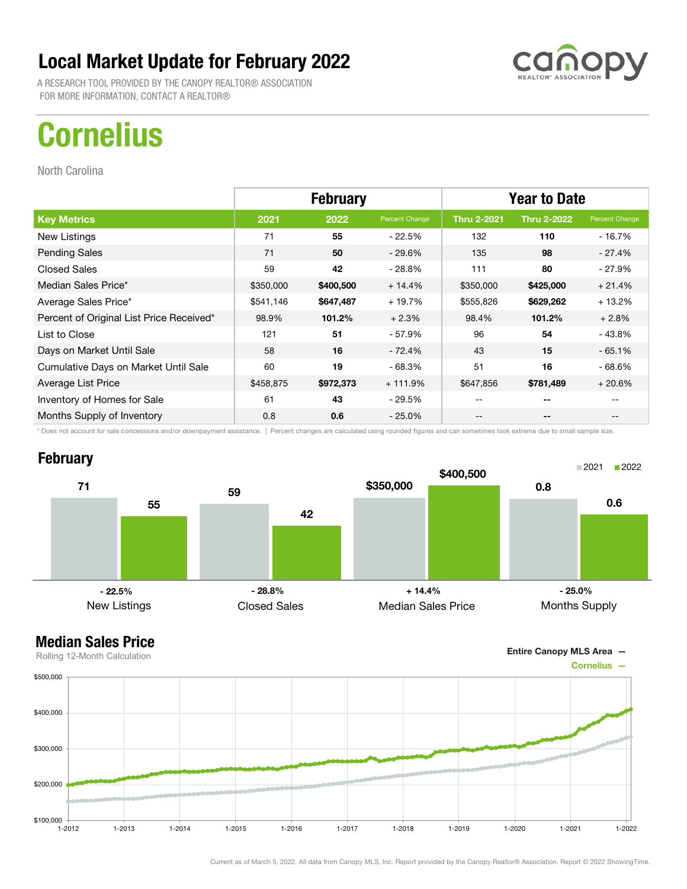A RESEARCH TOOL PROVIDED BY THE CANOPY REALTOR® ASSOCIATION FOR MORE INFORMATION, CONTACT A REALTOR®

## **Cornelius**

North Carolina

|                                          | <b>February</b> |           |                | <b>Year to Date</b> |                    |                |
|------------------------------------------|-----------------|-----------|----------------|---------------------|--------------------|----------------|
| <b>Key Metrics</b>                       | 2021            | 2022      | Percent Change | <b>Thru 2-2021</b>  | <b>Thru 2-2022</b> | Percent Change |
| New Listings                             | 71              | 55        | $-22.5%$       | 132                 | 110                | - 16.7%        |
| <b>Pending Sales</b>                     | 71              | 50        | $-29.6\%$      | 135                 | 98                 | $-27.4%$       |
| <b>Closed Sales</b>                      | 59              | 42        | - 28.8%        | 111                 | 80                 | - 27.9%        |
| Median Sales Price*                      | \$350,000       | \$400,500 | $+14.4%$       | \$350,000           | \$425,000          | $+21.4%$       |
| Average Sales Price*                     | \$541,146       | \$647,487 | + 19.7%        | \$555,826           | \$629,262          | $+13.2%$       |
| Percent of Original List Price Received* | 98.9%           | 101.2%    | $+2.3%$        | 98.4%               | 101.2%             | $+2.8%$        |
| List to Close                            | 121             | 51        | - 57.9%        | 96                  | 54                 | $-43.8%$       |
| Days on Market Until Sale                | 58              | 16        | - 72.4%        | 43                  | 15                 | $-65.1%$       |
| Cumulative Days on Market Until Sale     | 60              | 19        | - 68.3%        | 51                  | 16                 | - 68.6%        |
| Average List Price                       | \$458,875       | \$972,373 | $+111.9%$      | \$647,856           | \$781,489          | $+20.6%$       |
| Inventory of Homes for Sale              | 61              | 43        | - 29.5%        |                     | --                 |                |
| Months Supply of Inventory               | 0.8             | 0.6       | $-25.0\%$      | --                  | --                 | --             |

\* Does not account for sale concessions and/or downpayment assistance. | Percent changes are calculated using rounded figures and can sometimes look extreme due to small sample size.

### **February**





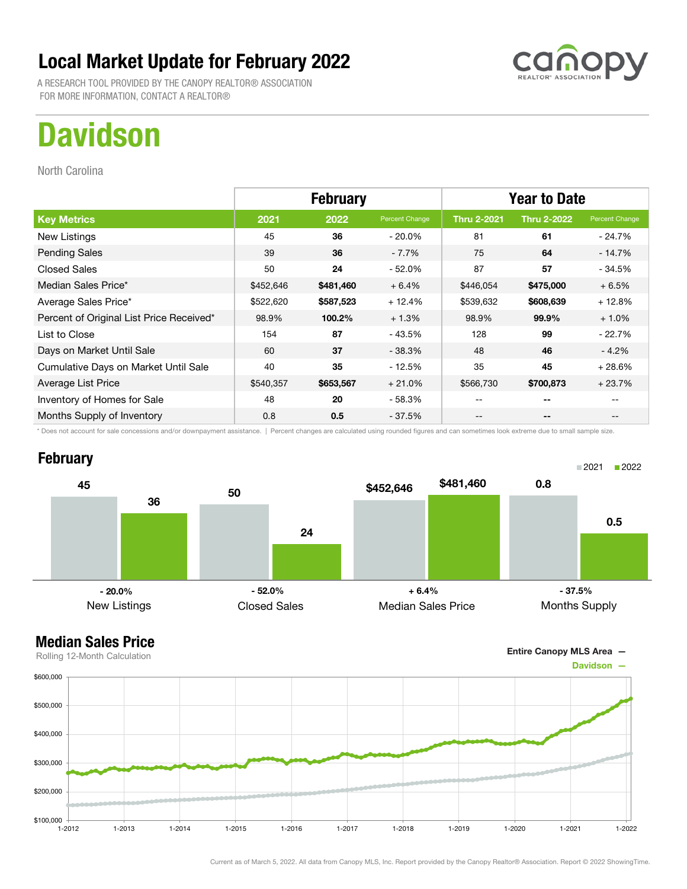A RESEARCH TOOL PROVIDED BY THE CANOPY REALTOR® ASSOCIATION FOR MORE INFORMATION, CONTACT A REALTOR®

## **Davidson**

North Carolina

|                                          | <b>February</b> |           |                | <b>Year to Date</b> |                    |                |
|------------------------------------------|-----------------|-----------|----------------|---------------------|--------------------|----------------|
| <b>Key Metrics</b>                       | 2021            | 2022      | Percent Change | <b>Thru 2-2021</b>  | <b>Thru 2-2022</b> | Percent Change |
| New Listings                             | 45              | 36        | $-20.0\%$      | 81                  | 61                 | - 24.7%        |
| <b>Pending Sales</b>                     | 39              | 36        | $-7.7%$        | 75                  | 64                 | $-14.7%$       |
| <b>Closed Sales</b>                      | 50              | 24        | $-52.0\%$      | 87                  | 57                 | $-34.5%$       |
| Median Sales Price*                      | \$452,646       | \$481,460 | $+6.4%$        | \$446,054           | \$475,000          | $+6.5%$        |
| Average Sales Price*                     | \$522,620       | \$587,523 | $+12.4%$       | \$539,632           | \$608,639          | $+12.8%$       |
| Percent of Original List Price Received* | 98.9%           | 100.2%    | $+1.3%$        | 98.9%               | 99.9%              | $+1.0%$        |
| List to Close                            | 154             | 87        | - 43.5%        | 128                 | 99                 | $-22.7%$       |
| Days on Market Until Sale                | 60              | 37        | $-38.3%$       | 48                  | 46                 | $-4.2\%$       |
| Cumulative Days on Market Until Sale     | 40              | 35        | - 12.5%        | 35                  | 45                 | $+28.6%$       |
| Average List Price                       | \$540,357       | \$653,567 | $+21.0%$       | \$566,730           | \$700,873          | $+23.7%$       |
| Inventory of Homes for Sale              | 48              | 20        | - 58.3%        | --                  | --                 |                |
| Months Supply of Inventory               | 0.8             | 0.5       | - 37.5%        | --                  | --                 |                |

\* Does not account for sale concessions and/or downpayment assistance. | Percent changes are calculated using rounded figures and can sometimes look extreme due to small sample size.

#### **February**





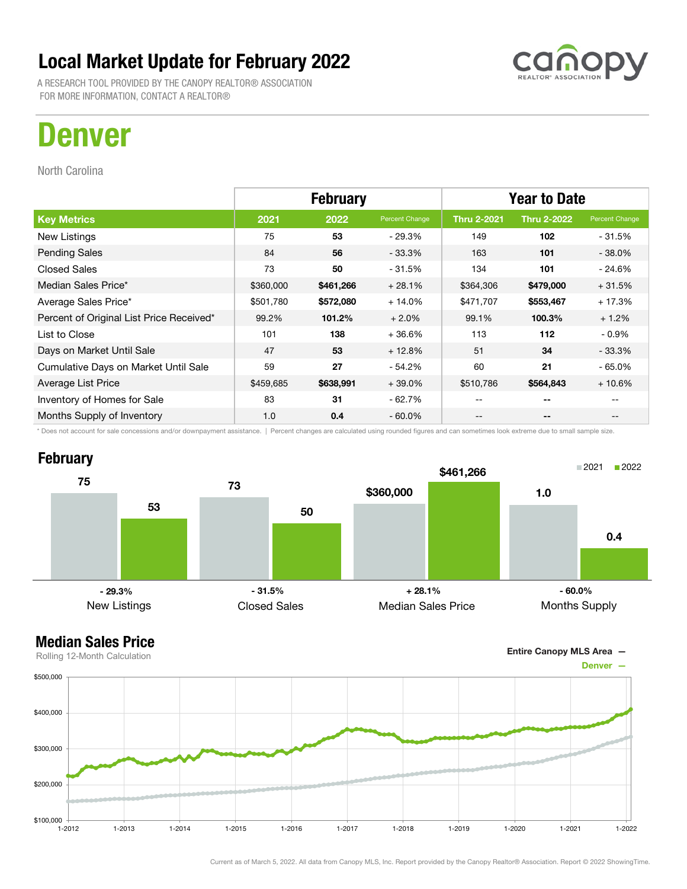A RESEARCH TOOL PROVIDED BY THE CANOPY REALTOR® ASSOCIATION FOR MORE INFORMATION, CONTACT A REALTOR®



North Carolina

|                                          | <b>February</b> |           |                | <b>Year to Date</b> |                          |                |
|------------------------------------------|-----------------|-----------|----------------|---------------------|--------------------------|----------------|
| <b>Key Metrics</b>                       | 2021            | 2022      | Percent Change | <b>Thru 2-2021</b>  | <b>Thru 2-2022</b>       | Percent Change |
| New Listings                             | 75              | 53        | $-29.3%$       | 149                 | 102                      | $-31.5%$       |
| <b>Pending Sales</b>                     | 84              | 56        | $-33.3%$       | 163                 | 101                      | $-38.0%$       |
| <b>Closed Sales</b>                      | 73              | 50        | $-31.5%$       | 134                 | 101                      | - 24.6%        |
| Median Sales Price*                      | \$360,000       | \$461,266 | $+28.1%$       | \$364,306           | \$479,000                | $+31.5%$       |
| Average Sales Price*                     | \$501,780       | \$572,080 | $+14.0%$       | \$471,707           | \$553,467                | $+17.3%$       |
| Percent of Original List Price Received* | 99.2%           | 101.2%    | $+2.0%$        | 99.1%               | 100.3%                   | $+1.2%$        |
| List to Close                            | 101             | 138       | $+36.6%$       | 113                 | 112                      | $-0.9%$        |
| Days on Market Until Sale                | 47              | 53        | $+12.8%$       | 51                  | 34                       | $-33.3\%$      |
| Cumulative Days on Market Until Sale     | 59              | 27        | $-54.2%$       | 60                  | 21                       | $-65.0\%$      |
| Average List Price                       | \$459,685       | \$638,991 | $+39.0%$       | \$510,786           | \$564,843                | $+10.6%$       |
| Inventory of Homes for Sale              | 83              | 31        | $-62.7%$       | $- -$               | $- -$                    |                |
| Months Supply of Inventory               | 1.0             | 0.4       | $-60.0%$       | $- -$               | $\overline{\phantom{a}}$ |                |

\* Does not account for sale concessions and/or downpayment assistance. | Percent changes are calculated using rounded figures and can sometimes look extreme due to small sample size.





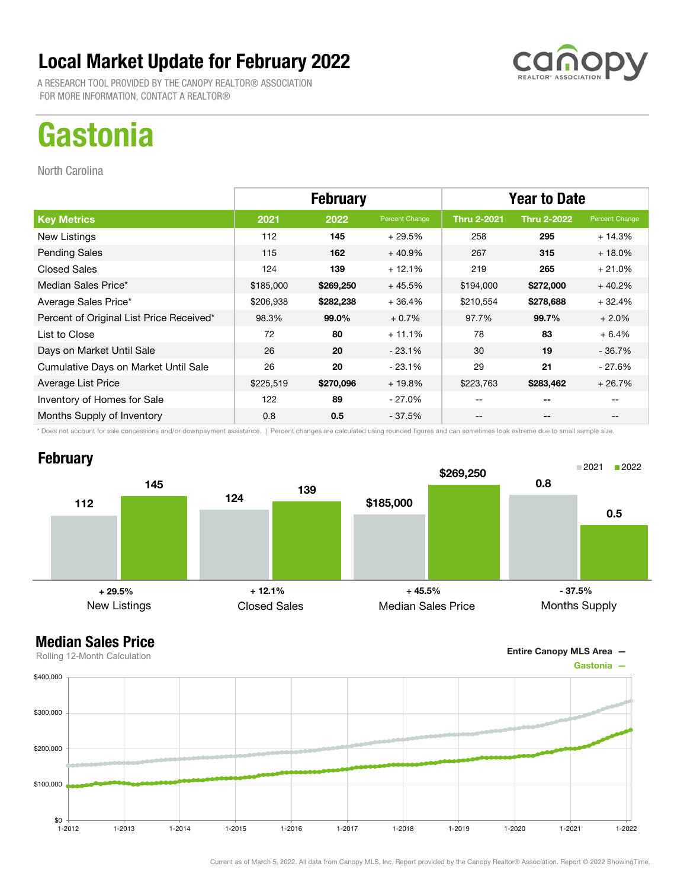A RESEARCH TOOL PROVIDED BY THE CANOPY REALTOR® ASSOCIATION FOR MORE INFORMATION, CONTACT A REALTOR®

# **Gastonia**

North Carolina

|                                          | <b>February</b> |           |                | <b>Year to Date</b> |                          |                |
|------------------------------------------|-----------------|-----------|----------------|---------------------|--------------------------|----------------|
| <b>Key Metrics</b>                       | 2021            | 2022      | Percent Change | <b>Thru 2-2021</b>  | <b>Thru 2-2022</b>       | Percent Change |
| New Listings                             | 112             | 145       | $+29.5%$       | 258                 | 295                      | $+14.3%$       |
| <b>Pending Sales</b>                     | 115             | 162       | $+40.9%$       | 267                 | 315                      | $+18.0%$       |
| <b>Closed Sales</b>                      | 124             | 139       | $+12.1%$       | 219                 | 265                      | $+21.0%$       |
| Median Sales Price*                      | \$185,000       | \$269,250 | $+45.5%$       | \$194,000           | \$272,000                | $+40.2%$       |
| Average Sales Price*                     | \$206,938       | \$282,238 | $+36.4%$       | \$210,554           | \$278,688                | $+32.4%$       |
| Percent of Original List Price Received* | 98.3%           | 99.0%     | $+0.7%$        | 97.7%               | 99.7%                    | $+2.0%$        |
| List to Close                            | 72              | 80        | $+11.1%$       | 78                  | 83                       | $+6.4%$        |
| Days on Market Until Sale                | 26              | 20        | $-23.1%$       | 30                  | 19                       | $-36.7%$       |
| Cumulative Days on Market Until Sale     | 26              | 20        | $-23.1%$       | 29                  | 21                       | $-27.6%$       |
| Average List Price                       | \$225,519       | \$270,096 | $+19.8%$       | \$223,763           | \$283,462                | $+26.7%$       |
| Inventory of Homes for Sale              | 122             | 89        | - 27.0%        | --                  | --                       |                |
| Months Supply of Inventory               | 0.8             | 0.5       | - 37.5%        | --                  | $\overline{\phantom{a}}$ |                |

\* Does not account for sale concessions and/or downpayment assistance. | Percent changes are calculated using rounded figures and can sometimes look extreme due to small sample size.

### **February**





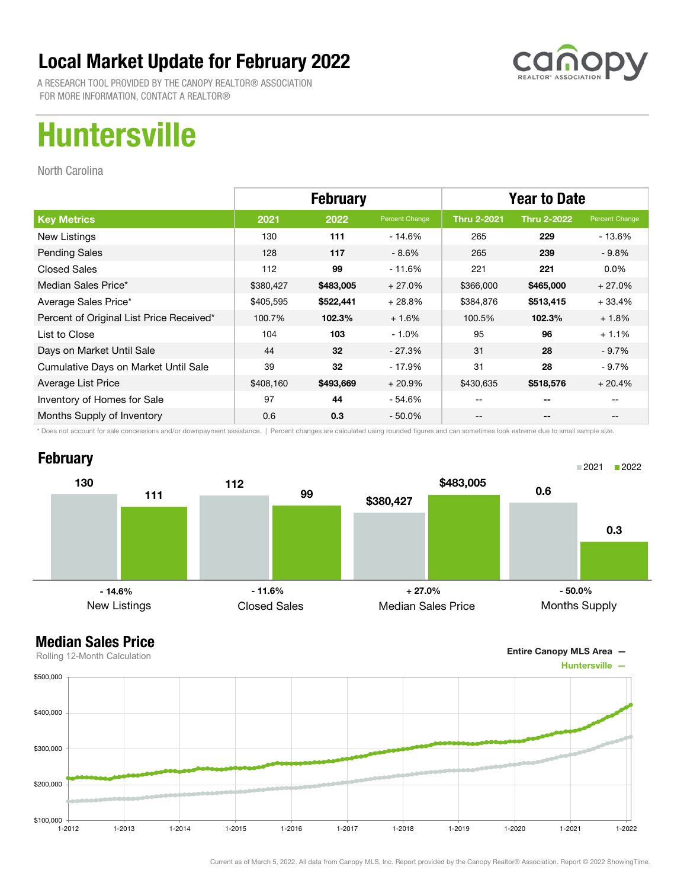

A RESEARCH TOOL PROVIDED BY THE CANOPY REALTOR® ASSOCIATION FOR MORE INFORMATION, CONTACT A REALTOR®

## Huntersville

North Carolina

|                                          | <b>February</b> |           |                | <b>Year to Date</b> |                    |                |
|------------------------------------------|-----------------|-----------|----------------|---------------------|--------------------|----------------|
| <b>Key Metrics</b>                       | 2021            | 2022      | Percent Change | <b>Thru 2-2021</b>  | <b>Thru 2-2022</b> | Percent Change |
| New Listings                             | 130             | 111       | $-14.6%$       | 265                 | 229                | - 13.6%        |
| <b>Pending Sales</b>                     | 128             | 117       | $-8.6\%$       | 265                 | 239                | $-9.8%$        |
| <b>Closed Sales</b>                      | 112             | 99        | - 11.6%        | 221                 | 221                | $0.0\%$        |
| Median Sales Price*                      | \$380,427       | \$483,005 | $+27.0%$       | \$366,000           | \$465,000          | $+27.0%$       |
| Average Sales Price*                     | \$405,595       | \$522,441 | $+28.8%$       | \$384,876           | \$513,415          | $+33.4%$       |
| Percent of Original List Price Received* | 100.7%          | 102.3%    | $+1.6%$        | 100.5%              | 102.3%             | $+1.8%$        |
| List to Close                            | 104             | 103       | $-1.0%$        | 95                  | 96                 | $+1.1%$        |
| Days on Market Until Sale                | 44              | 32        | $-27.3%$       | 31                  | 28                 | $-9.7\%$       |
| Cumulative Days on Market Until Sale     | 39              | 32        | $-17.9%$       | 31                  | 28                 | - 9.7%         |
| Average List Price                       | \$408,160       | \$493,669 | $+20.9%$       | \$430,635           | \$518,576          | $+20.4%$       |
| Inventory of Homes for Sale              | 97              | 44        | - 54.6%        | --                  | --                 |                |
| Months Supply of Inventory               | 0.6             | 0.3       | $-50.0\%$      | --                  | --                 |                |

\* Does not account for sale concessions and/or downpayment assistance. | Percent changes are calculated using rounded figures and can sometimes look extreme due to small sample size.

### **February**



Entire Canopy MLS Area —

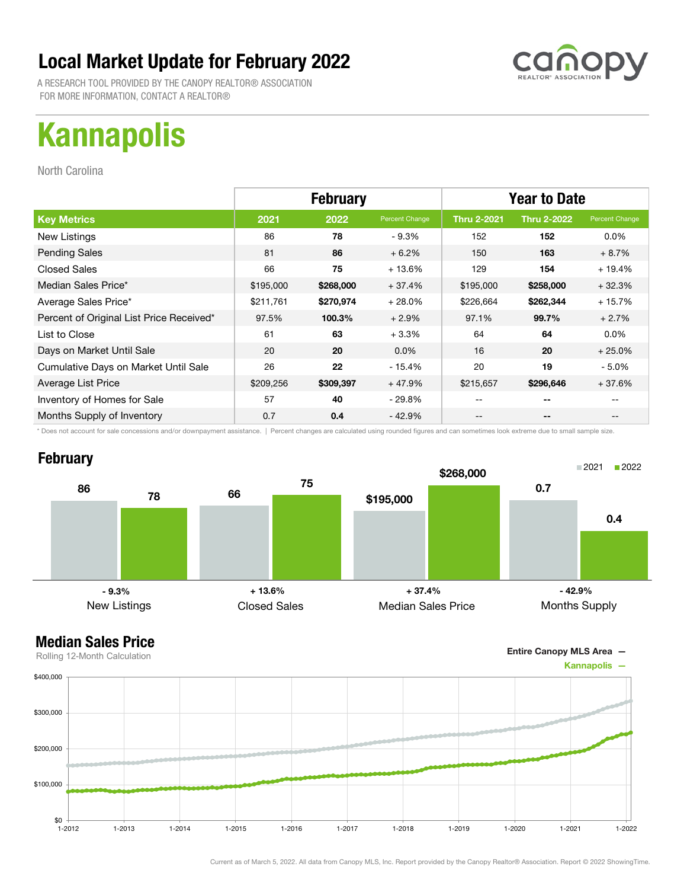A RESEARCH TOOL PROVIDED BY THE CANOPY REALTOR® ASSOCIATION FOR MORE INFORMATION, CONTACT A REALTOR®

## Kannapolis

North Carolina

|                                          | <b>February</b> |           |                | <b>Year to Date</b> |                    |                |
|------------------------------------------|-----------------|-----------|----------------|---------------------|--------------------|----------------|
| <b>Key Metrics</b>                       | 2021            | 2022      | Percent Change | <b>Thru 2-2021</b>  | <b>Thru 2-2022</b> | Percent Change |
| New Listings                             | 86              | 78        | $-9.3%$        | 152                 | 152                | $0.0\%$        |
| <b>Pending Sales</b>                     | 81              | 86        | $+6.2%$        | 150                 | 163                | $+8.7%$        |
| <b>Closed Sales</b>                      | 66              | 75        | $+13.6%$       | 129                 | 154                | $+19.4%$       |
| Median Sales Price*                      | \$195,000       | \$268,000 | $+37.4%$       | \$195,000           | \$258,000          | $+32.3%$       |
| Average Sales Price*                     | \$211,761       | \$270,974 | $+28.0%$       | \$226,664           | \$262,344          | $+15.7%$       |
| Percent of Original List Price Received* | 97.5%           | 100.3%    | $+2.9%$        | 97.1%               | 99.7%              | $+2.7%$        |
| List to Close                            | 61              | 63        | $+3.3%$        | 64                  | 64                 | $0.0\%$        |
| Days on Market Until Sale                | 20              | 20        | $0.0\%$        | 16                  | 20                 | $+25.0%$       |
| Cumulative Days on Market Until Sale     | 26              | 22        | $-15.4%$       | 20                  | 19                 | $-5.0\%$       |
| Average List Price                       | \$209,256       | \$309,397 | $+47.9%$       | \$215,657           | \$296,646          | $+37.6%$       |
| Inventory of Homes for Sale              | 57              | 40        | - 29.8%        |                     | --                 |                |
| Months Supply of Inventory               | 0.7             | 0.4       | $-42.9%$       | --                  | --                 |                |

\* Does not account for sale concessions and/or downpayment assistance. | Percent changes are calculated using rounded figures and can sometimes look extreme due to small sample size.

### **February**



Entire Canopy MLS Area —

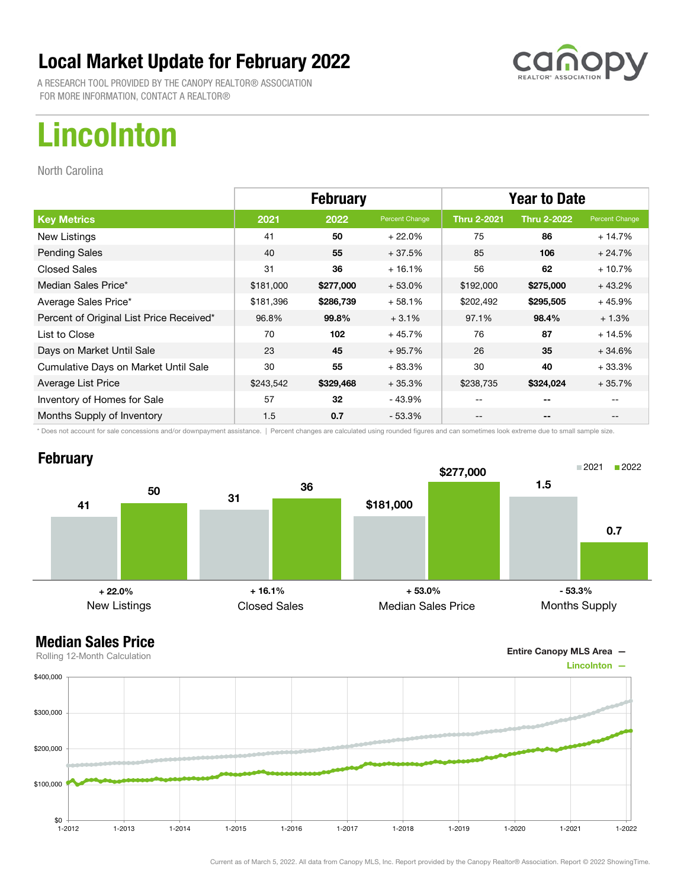A RESEARCH TOOL PROVIDED BY THE CANOPY REALTOR® ASSOCIATION FOR MORE INFORMATION, CONTACT A REALTOR®

## Lincolnton

North Carolina

|                                          | <b>February</b> |           |                | <b>Year to Date</b> |                    |                |
|------------------------------------------|-----------------|-----------|----------------|---------------------|--------------------|----------------|
| <b>Key Metrics</b>                       | 2021            | 2022      | Percent Change | <b>Thru 2-2021</b>  | <b>Thru 2-2022</b> | Percent Change |
| New Listings                             | 41              | 50        | $+22.0%$       | 75                  | 86                 | $+14.7%$       |
| <b>Pending Sales</b>                     | 40              | 55        | $+37.5%$       | 85                  | 106                | $+24.7%$       |
| <b>Closed Sales</b>                      | 31              | 36        | $+16.1%$       | 56                  | 62                 | $+10.7%$       |
| Median Sales Price*                      | \$181,000       | \$277,000 | $+53.0%$       | \$192,000           | \$275,000          | $+43.2%$       |
| Average Sales Price*                     | \$181,396       | \$286,739 | $+58.1%$       | \$202,492           | \$295,505          | $+45.9%$       |
| Percent of Original List Price Received* | 96.8%           | 99.8%     | $+3.1%$        | 97.1%               | 98.4%              | $+1.3%$        |
| List to Close                            | 70              | 102       | $+45.7%$       | 76                  | 87                 | $+14.5%$       |
| Days on Market Until Sale                | 23              | 45        | $+95.7%$       | 26                  | 35                 | $+34.6%$       |
| Cumulative Days on Market Until Sale     | 30              | 55        | $+83.3%$       | 30                  | 40                 | $+33.3%$       |
| Average List Price                       | \$243,542       | \$329,468 | $+35.3%$       | \$238,735           | \$324,024          | $+35.7%$       |
| Inventory of Homes for Sale              | 57              | 32        | - 43.9%        | --                  | --                 |                |
| Months Supply of Inventory               | 1.5             | 0.7       | $-53.3%$       | --                  | --                 |                |

\* Does not account for sale concessions and/or downpayment assistance. | Percent changes are calculated using rounded figures and can sometimes look extreme due to small sample size.

### **February**



Entire Canopy MLS Area —

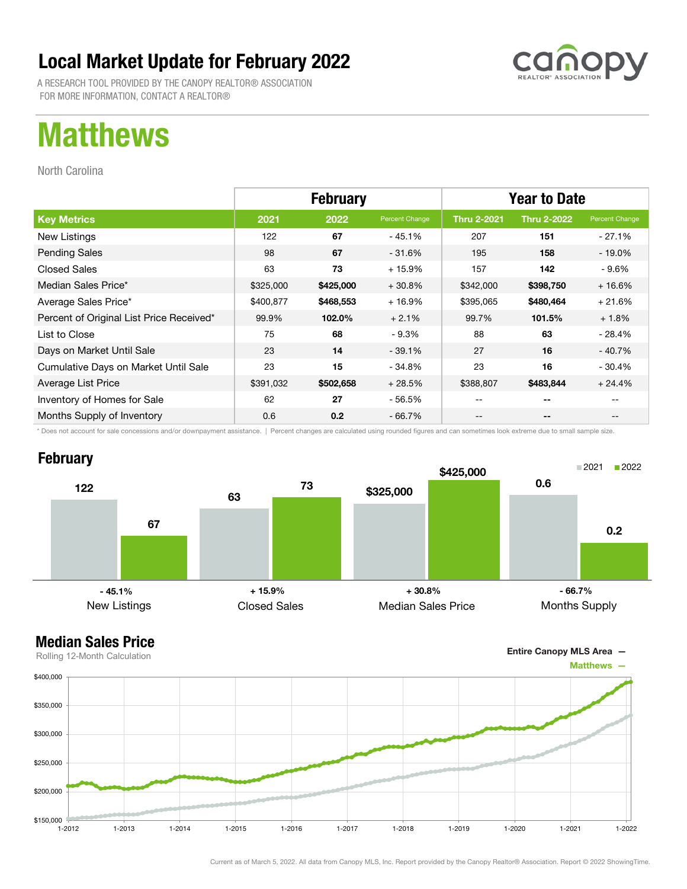A RESEARCH TOOL PROVIDED BY THE CANOPY REALTOR® ASSOCIATION FOR MORE INFORMATION, CONTACT A REALTOR®

## Matthews

North Carolina

|                                          | <b>February</b> |           |                | <b>Year to Date</b> |                    |                |
|------------------------------------------|-----------------|-----------|----------------|---------------------|--------------------|----------------|
| <b>Key Metrics</b>                       | 2021            | 2022      | Percent Change | <b>Thru 2-2021</b>  | <b>Thru 2-2022</b> | Percent Change |
| New Listings                             | 122             | 67        | - 45.1%        | 207                 | 151                | - 27.1%        |
| <b>Pending Sales</b>                     | 98              | 67        | $-31.6%$       | 195                 | 158                | - 19.0%        |
| <b>Closed Sales</b>                      | 63              | 73        | $+15.9%$       | 157                 | 142                | - 9.6%         |
| Median Sales Price*                      | \$325,000       | \$425,000 | $+30.8%$       | \$342,000           | \$398,750          | $+16.6%$       |
| Average Sales Price*                     | \$400,877       | \$468,553 | $+16.9%$       | \$395,065           | \$480,464          | $+21.6%$       |
| Percent of Original List Price Received* | 99.9%           | 102.0%    | $+2.1%$        | 99.7%               | 101.5%             | $+1.8%$        |
| List to Close                            | 75              | 68        | $-9.3%$        | 88                  | 63                 | $-28.4%$       |
| Days on Market Until Sale                | 23              | 14        | $-39.1%$       | 27                  | 16                 | - 40.7%        |
| Cumulative Days on Market Until Sale     | 23              | 15        | $-34.8%$       | 23                  | 16                 | $-30.4%$       |
| Average List Price                       | \$391,032       | \$502,658 | $+28.5%$       | \$388,807           | \$483,844          | $+24.4%$       |
| Inventory of Homes for Sale              | 62              | 27        | - 56.5%        | --                  | --                 |                |
| Months Supply of Inventory               | 0.6             | 0.2       | $-66.7\%$      | --                  | --                 |                |

\* Does not account for sale concessions and/or downpayment assistance. | Percent changes are calculated using rounded figures and can sometimes look extreme due to small sample size.

### **February**



Entire Canopy MLS Area —

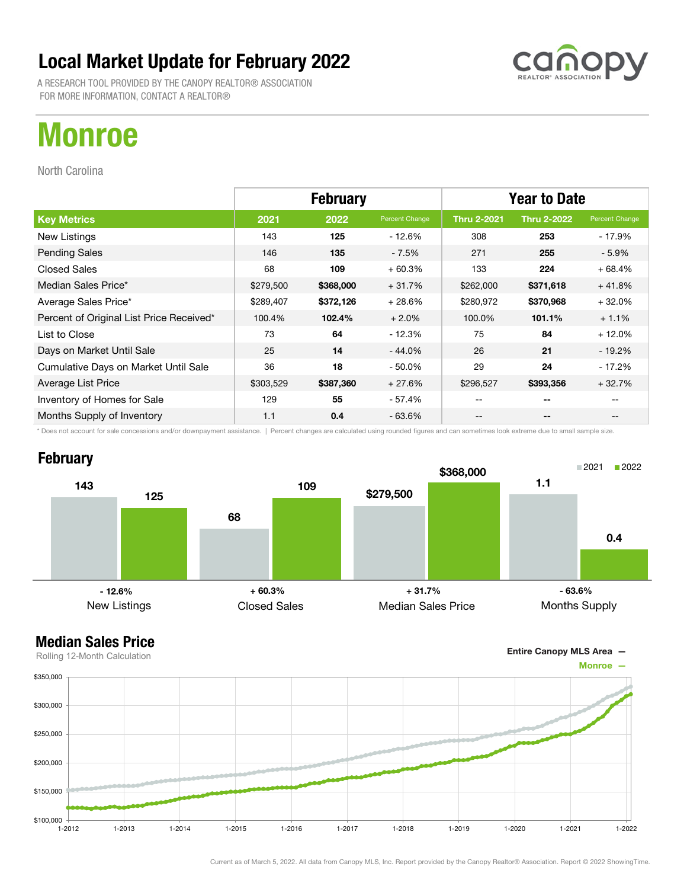A RESEARCH TOOL PROVIDED BY THE CANOPY REALTOR® ASSOCIATION FOR MORE INFORMATION, CONTACT A REALTOR®

## Monroe

North Carolina

|                                          | <b>February</b> |           |                | <b>Year to Date</b> |                    |                |
|------------------------------------------|-----------------|-----------|----------------|---------------------|--------------------|----------------|
| <b>Key Metrics</b>                       | 2021            | 2022      | Percent Change | <b>Thru 2-2021</b>  | <b>Thru 2-2022</b> | Percent Change |
| New Listings                             | 143             | 125       | - 12.6%        | 308                 | 253                | - 17.9%        |
| <b>Pending Sales</b>                     | 146             | 135       | $-7.5%$        | 271                 | 255                | $-5.9\%$       |
| <b>Closed Sales</b>                      | 68              | 109       | $+60.3%$       | 133                 | 224                | $+68.4%$       |
| Median Sales Price*                      | \$279,500       | \$368,000 | $+31.7%$       | \$262,000           | \$371,618          | $+41.8%$       |
| Average Sales Price*                     | \$289,407       | \$372,126 | $+28.6%$       | \$280,972           | \$370,968          | $+32.0%$       |
| Percent of Original List Price Received* | 100.4%          | 102.4%    | $+2.0%$        | 100.0%              | 101.1%             | $+1.1%$        |
| List to Close                            | 73              | 64        | $-12.3%$       | 75                  | 84                 | $+12.0%$       |
| Days on Market Until Sale                | 25              | 14        | $-44.0\%$      | 26                  | 21                 | $-19.2%$       |
| Cumulative Days on Market Until Sale     | 36              | 18        | $-50.0\%$      | 29                  | 24                 | $-17.2%$       |
| Average List Price                       | \$303,529       | \$387,360 | $+27.6%$       | \$296,527           | \$393,356          | $+32.7%$       |
| Inventory of Homes for Sale              | 129             | 55        | - 57.4%        | --                  | --                 |                |
| Months Supply of Inventory               | 1.1             | 0.4       | $-63.6%$       | --                  | --                 | --             |

\* Does not account for sale concessions and/or downpayment assistance. | Percent changes are calculated using rounded figures and can sometimes look extreme due to small sample size.

### **February**





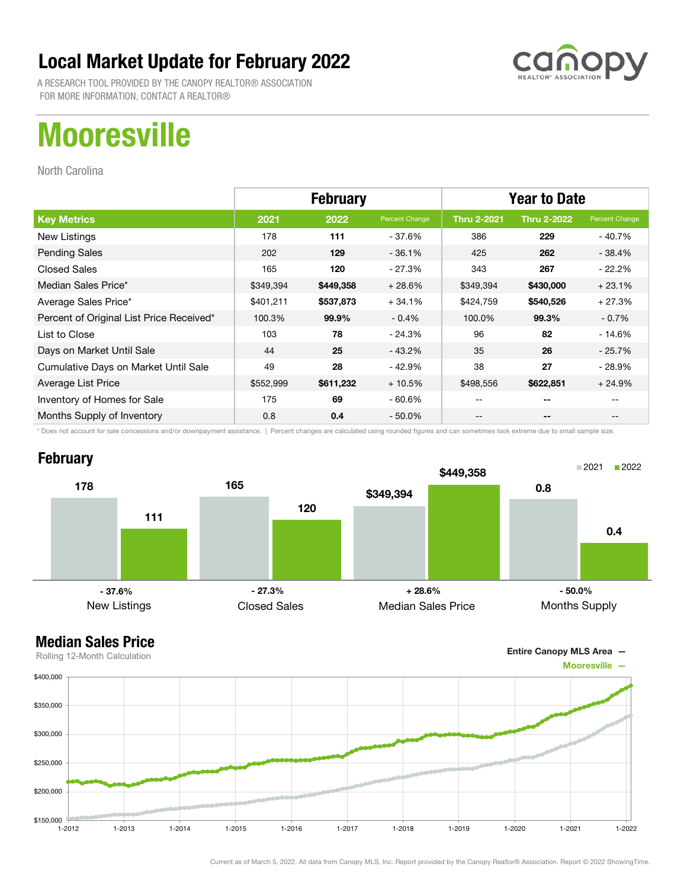

A RESEARCH TOOL PROVIDED BY THE CANOPY REALTOR® ASSOCIATION FOR MORE INFORMATION, CONTACT A REALTOR®

## **Mooresville**

North Carolina

|                                          | <b>February</b> |           |                | <b>Year to Date</b> |                    |                |
|------------------------------------------|-----------------|-----------|----------------|---------------------|--------------------|----------------|
| <b>Key Metrics</b>                       | 2021            | 2022      | Percent Change | <b>Thru 2-2021</b>  | <b>Thru 2-2022</b> | Percent Change |
| New Listings                             | 178             | 111       | $-37.6%$       | 386                 | 229                | - 40.7%        |
| <b>Pending Sales</b>                     | 202             | 129       | $-36.1%$       | 425                 | 262                | $-38.4%$       |
| <b>Closed Sales</b>                      | 165             | 120       | $-27.3%$       | 343                 | 267                | $-22.2\%$      |
| Median Sales Price*                      | \$349,394       | \$449,358 | $+28.6%$       | \$349,394           | \$430,000          | $+23.1%$       |
| Average Sales Price*                     | \$401,211       | \$537,873 | $+34.1%$       | \$424,759           | \$540,526          | $+27.3%$       |
| Percent of Original List Price Received* | 100.3%          | 99.9%     | $-0.4%$        | 100.0%              | 99.3%              | $-0.7\%$       |
| List to Close                            | 103             | 78        | $-24.3%$       | 96                  | 82                 | $-14.6%$       |
| Days on Market Until Sale                | 44              | 25        | $-43.2%$       | 35                  | 26                 | $-25.7\%$      |
| Cumulative Days on Market Until Sale     | 49              | 28        | $-42.9%$       | 38                  | 27                 | $-28.9%$       |
| Average List Price                       | \$552,999       | \$611,232 | $+10.5%$       | \$498,556           | \$622,851          | $+24.9%$       |
| Inventory of Homes for Sale              | 175             | 69        | $-60.6%$       | --                  | --                 |                |
| Months Supply of Inventory               | 0.8             | 0.4       | $-50.0\%$      | --                  | --                 |                |

\* Does not account for sale concessions and/or downpayment assistance. | Percent changes are calculated using rounded figures and can sometimes look extreme due to small sample size.

### **February**



Entire Canopy MLS Area —

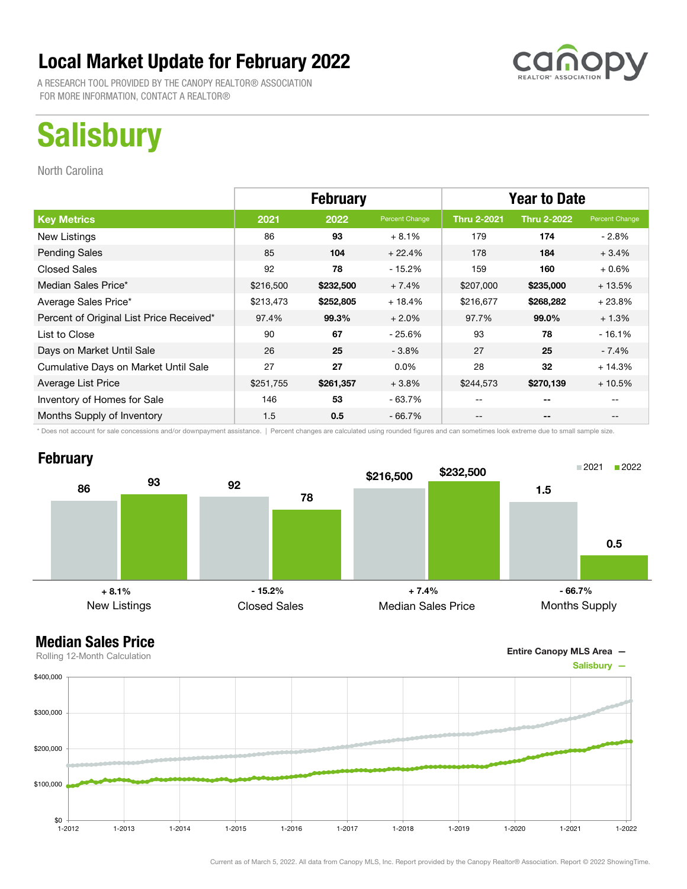A RESEARCH TOOL PROVIDED BY THE CANOPY REALTOR® ASSOCIATION FOR MORE INFORMATION, CONTACT A REALTOR®

## **Salisbury**

North Carolina

|                                          | <b>February</b> |           |                | <b>Year to Date</b> |                          |                |
|------------------------------------------|-----------------|-----------|----------------|---------------------|--------------------------|----------------|
| <b>Key Metrics</b>                       | 2021            | 2022      | Percent Change | <b>Thru 2-2021</b>  | <b>Thru 2-2022</b>       | Percent Change |
| New Listings                             | 86              | 93        | $+8.1%$        | 179                 | 174                      | $-2.8\%$       |
| <b>Pending Sales</b>                     | 85              | 104       | $+22.4%$       | 178                 | 184                      | $+3.4%$        |
| <b>Closed Sales</b>                      | 92              | 78        | - 15.2%        | 159                 | 160                      | $+0.6%$        |
| Median Sales Price*                      | \$216,500       | \$232,500 | $+7.4%$        | \$207,000           | \$235,000                | $+13.5%$       |
| Average Sales Price*                     | \$213,473       | \$252,805 | $+18.4%$       | \$216,677           | \$268,282                | $+23.8%$       |
| Percent of Original List Price Received* | 97.4%           | 99.3%     | $+2.0%$        | 97.7%               | 99.0%                    | $+1.3%$        |
| List to Close                            | 90              | 67        | $-25.6%$       | 93                  | 78                       | $-16.1%$       |
| Days on Market Until Sale                | 26              | 25        | $-3.8%$        | 27                  | 25                       | $-7.4%$        |
| Cumulative Days on Market Until Sale     | 27              | 27        | $0.0\%$        | 28                  | 32                       | $+14.3%$       |
| Average List Price                       | \$251,755       | \$261,357 | $+3.8\%$       | \$244,573           | \$270,139                | $+10.5%$       |
| Inventory of Homes for Sale              | 146             | 53        | $-63.7%$       | $- -$               | --                       |                |
| Months Supply of Inventory               | 1.5             | 0.5       | - 66.7%        | --                  | $\overline{\phantom{a}}$ |                |

\* Does not account for sale concessions and/or downpayment assistance. | Percent changes are calculated using rounded figures and can sometimes look extreme due to small sample size.

#### **February**





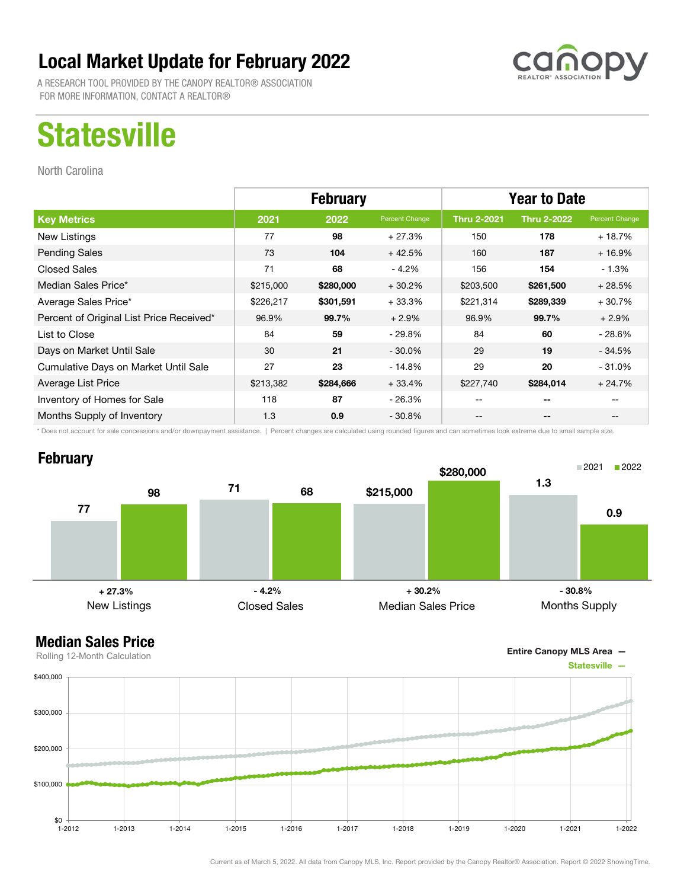A RESEARCH TOOL PROVIDED BY THE CANOPY REALTOR® ASSOCIATION FOR MORE INFORMATION, CONTACT A REALTOR®

## **Statesville**

North Carolina

|                                          | <b>February</b> |           |                | <b>Year to Date</b> |                    |                |
|------------------------------------------|-----------------|-----------|----------------|---------------------|--------------------|----------------|
| <b>Key Metrics</b>                       | 2021            | 2022      | Percent Change | <b>Thru 2-2021</b>  | <b>Thru 2-2022</b> | Percent Change |
| New Listings                             | 77              | 98        | $+27.3%$       | 150                 | 178                | $+18.7%$       |
| <b>Pending Sales</b>                     | 73              | 104       | $+42.5%$       | 160                 | 187                | $+16.9%$       |
| <b>Closed Sales</b>                      | 71              | 68        | $-4.2%$        | 156                 | 154                | - 1.3%         |
| Median Sales Price*                      | \$215,000       | \$280,000 | $+30.2%$       | \$203,500           | \$261,500          | $+28.5%$       |
| Average Sales Price*                     | \$226,217       | \$301,591 | $+33.3%$       | \$221,314           | \$289,339          | $+30.7%$       |
| Percent of Original List Price Received* | 96.9%           | 99.7%     | $+2.9%$        | 96.9%               | 99.7%              | $+2.9%$        |
| List to Close                            | 84              | 59        | $-29.8%$       | 84                  | 60                 | $-28.6%$       |
| Days on Market Until Sale                | 30              | 21        | $-30.0\%$      | 29                  | 19                 | $-34.5%$       |
| Cumulative Days on Market Until Sale     | 27              | 23        | - 14.8%        | 29                  | 20                 | $-31.0%$       |
| Average List Price                       | \$213,382       | \$284,666 | $+33.4%$       | \$227,740           | \$284,014          | $+24.7%$       |
| Inventory of Homes for Sale              | 118             | 87        | - 26.3%        | --                  | --                 |                |
| Months Supply of Inventory               | 1.3             | 0.9       | $-30.8%$       | --                  | --                 |                |

\* Does not account for sale concessions and/or downpayment assistance. | Percent changes are calculated using rounded figures and can sometimes look extreme due to small sample size.

#### **February**







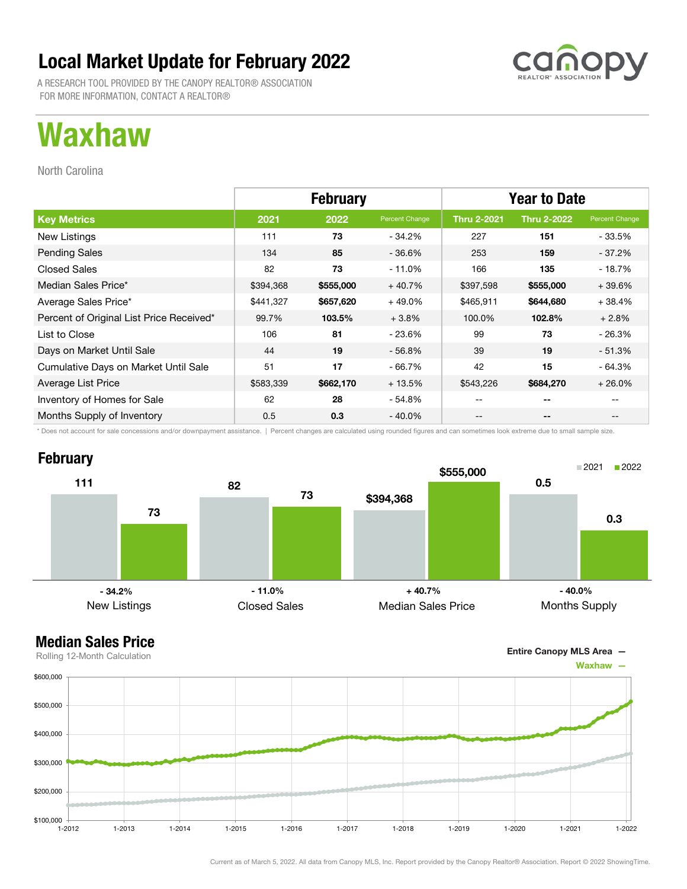A RESEARCH TOOL PROVIDED BY THE CANOPY REALTOR® ASSOCIATION FOR MORE INFORMATION, CONTACT A REALTOR®

## Waxhaw

North Carolina

|                                          | <b>February</b> |           |                | <b>Year to Date</b> |                    |                |
|------------------------------------------|-----------------|-----------|----------------|---------------------|--------------------|----------------|
| <b>Key Metrics</b>                       | 2021            | 2022      | Percent Change | <b>Thru 2-2021</b>  | <b>Thru 2-2022</b> | Percent Change |
| New Listings                             | 111             | 73        | - 34.2%        | 227                 | 151                | $-33.5%$       |
| <b>Pending Sales</b>                     | 134             | 85        | $-36.6\%$      | 253                 | 159                | $-37.2\%$      |
| <b>Closed Sales</b>                      | 82              | 73        | - 11.0%        | 166                 | 135                | - 18.7%        |
| Median Sales Price*                      | \$394,368       | \$555,000 | $+40.7%$       | \$397,598           | \$555,000          | $+39.6%$       |
| Average Sales Price*                     | \$441,327       | \$657,620 | $+49.0%$       | \$465,911           | \$644,680          | $+38.4%$       |
| Percent of Original List Price Received* | 99.7%           | 103.5%    | $+3.8%$        | 100.0%              | 102.8%             | $+2.8%$        |
| List to Close                            | 106             | 81        | - 23.6%        | 99                  | 73                 | $-26.3%$       |
| Days on Market Until Sale                | 44              | 19        | $-56.8%$       | 39                  | 19                 | $-51.3%$       |
| Cumulative Days on Market Until Sale     | 51              | 17        | - 66.7%        | 42                  | 15                 | - 64.3%        |
| Average List Price                       | \$583,339       | \$662,170 | $+13.5%$       | \$543,226           | \$684,270          | $+26.0%$       |
| Inventory of Homes for Sale              | 62              | 28        | - 54.8%        | --                  | --                 |                |
| Months Supply of Inventory               | 0.5             | 0.3       | $-40.0\%$      | --                  | --                 | --             |

\* Does not account for sale concessions and/or downpayment assistance. | Percent changes are calculated using rounded figures and can sometimes look extreme due to small sample size.

### **February**





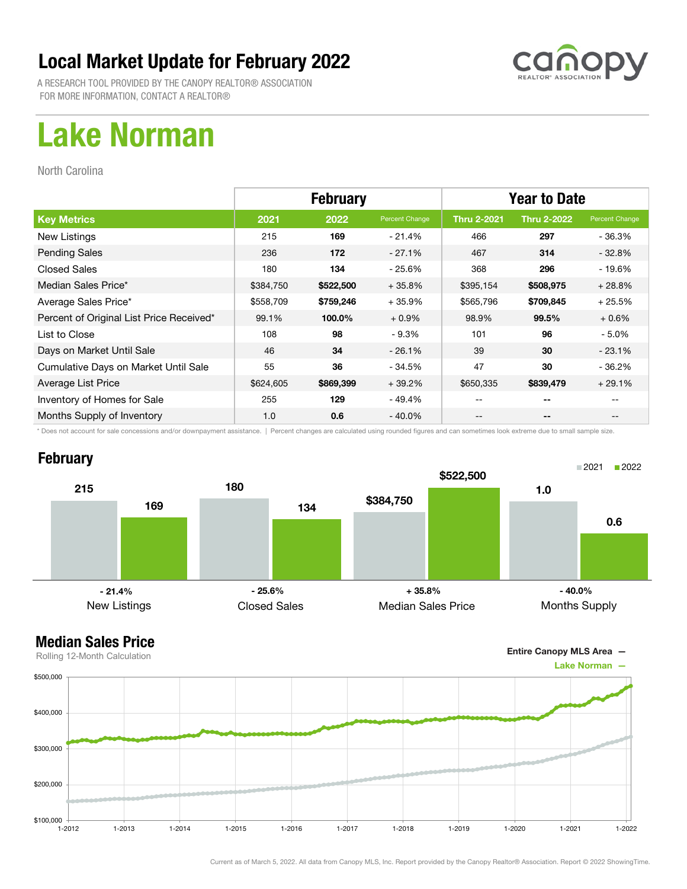

A RESEARCH TOOL PROVIDED BY THE CANOPY REALTOR® ASSOCIATION FOR MORE INFORMATION, CONTACT A REALTOR®

## Lake Norman

North Carolina

|                                          | <b>February</b> |           |                | <b>Year to Date</b> |                    |                |
|------------------------------------------|-----------------|-----------|----------------|---------------------|--------------------|----------------|
| <b>Key Metrics</b>                       | 2021            | 2022      | Percent Change | <b>Thru 2-2021</b>  | <b>Thru 2-2022</b> | Percent Change |
| New Listings                             | 215             | 169       | $-21.4%$       | 466                 | 297                | - 36.3%        |
| <b>Pending Sales</b>                     | 236             | 172       | $-27.1%$       | 467                 | 314                | $-32.8%$       |
| <b>Closed Sales</b>                      | 180             | 134       | $-25.6%$       | 368                 | 296                | $-19.6%$       |
| Median Sales Price*                      | \$384,750       | \$522,500 | $+35.8%$       | \$395,154           | \$508,975          | $+28.8%$       |
| Average Sales Price*                     | \$558,709       | \$759,246 | $+35.9%$       | \$565,796           | \$709,845          | $+25.5%$       |
| Percent of Original List Price Received* | 99.1%           | 100.0%    | $+0.9%$        | 98.9%               | 99.5%              | $+0.6%$        |
| List to Close                            | 108             | 98        | $-9.3%$        | 101                 | 96                 | $-5.0%$        |
| Days on Market Until Sale                | 46              | 34        | $-26.1%$       | 39                  | 30                 | $-23.1%$       |
| Cumulative Days on Market Until Sale     | 55              | 36        | - 34.5%        | 47                  | 30                 | $-36.2%$       |
| Average List Price                       | \$624,605       | \$869,399 | $+39.2%$       | \$650,335           | \$839,479          | $+29.1%$       |
| Inventory of Homes for Sale              | 255             | 129       | - 49.4%        | --                  | --                 |                |
| Months Supply of Inventory               | 1.0             | 0.6       | $-40.0\%$      | --                  | --                 |                |

\* Does not account for sale concessions and/or downpayment assistance. | Percent changes are calculated using rounded figures and can sometimes look extreme due to small sample size.

### **February**



Entire Canopy MLS Area —

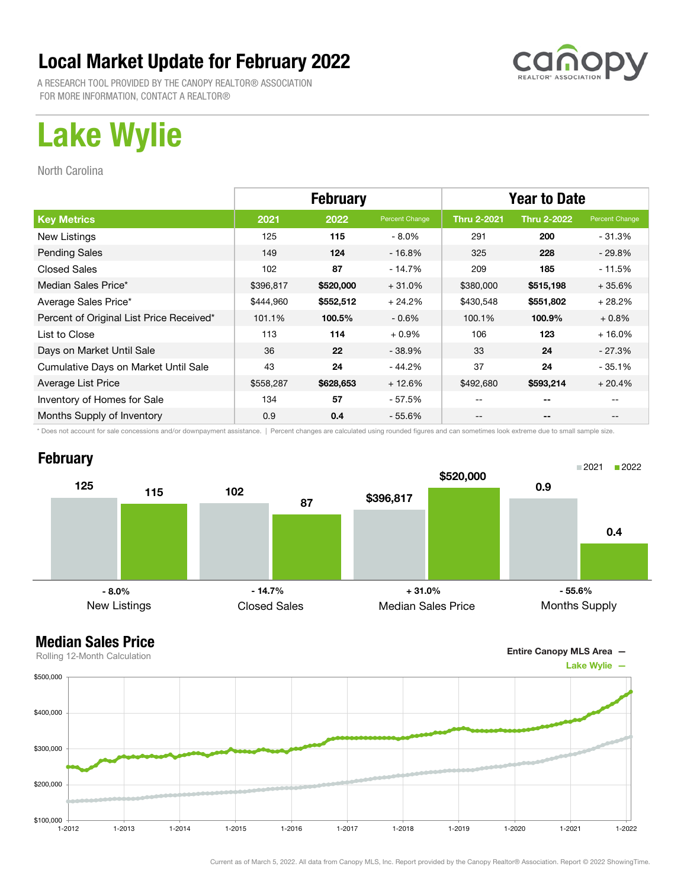

A RESEARCH TOOL PROVIDED BY THE CANOPY REALTOR® ASSOCIATION FOR MORE INFORMATION, CONTACT A REALTOR®

## Lake Wylie

North Carolina

|                                          | <b>February</b> |           |                | <b>Year to Date</b> |                    |                |
|------------------------------------------|-----------------|-----------|----------------|---------------------|--------------------|----------------|
| <b>Key Metrics</b>                       | 2021            | 2022      | Percent Change | <b>Thru 2-2021</b>  | <b>Thru 2-2022</b> | Percent Change |
| New Listings                             | 125             | 115       | $-8.0\%$       | 291                 | 200                | $-31.3%$       |
| <b>Pending Sales</b>                     | 149             | 124       | $-16.8%$       | 325                 | 228                | $-29.8%$       |
| <b>Closed Sales</b>                      | 102             | 87        | $-14.7%$       | 209                 | 185                | $-11.5%$       |
| Median Sales Price*                      | \$396,817       | \$520,000 | $+31.0%$       | \$380,000           | \$515,198          | $+35.6%$       |
| Average Sales Price*                     | \$444,960       | \$552,512 | $+24.2%$       | \$430,548           | \$551,802          | $+28.2%$       |
| Percent of Original List Price Received* | 101.1%          | 100.5%    | $-0.6\%$       | 100.1%              | 100.9%             | $+0.8\%$       |
| List to Close                            | 113             | 114       | $+0.9%$        | 106                 | 123                | $+16.0%$       |
| Days on Market Until Sale                | 36              | 22        | $-38.9%$       | 33                  | 24                 | $-27.3%$       |
| Cumulative Days on Market Until Sale     | 43              | 24        | $-44.2%$       | 37                  | 24                 | $-35.1%$       |
| Average List Price                       | \$558,287       | \$628,653 | $+12.6%$       | \$492,680           | \$593,214          | $+20.4%$       |
| Inventory of Homes for Sale              | 134             | 57        | $-57.5%$       |                     | --                 |                |
| Months Supply of Inventory               | 0.9             | 0.4       | $-55.6%$       | --                  | --                 |                |

\* Does not account for sale concessions and/or downpayment assistance. | Percent changes are calculated using rounded figures and can sometimes look extreme due to small sample size.

### **February**





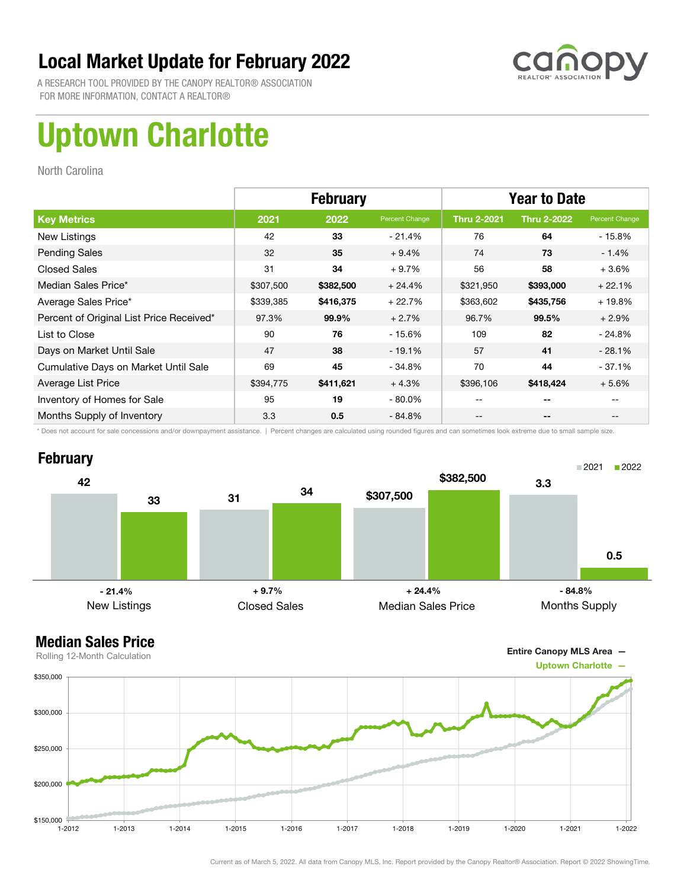

A RESEARCH TOOL PROVIDED BY THE CANOPY REALTOR® ASSOCIATION FOR MORE INFORMATION, CONTACT A REALTOR®

## Uptown Charlotte

North Carolina

|                                          | <b>February</b> |           |                | <b>Year to Date</b> |                    |                |
|------------------------------------------|-----------------|-----------|----------------|---------------------|--------------------|----------------|
| <b>Key Metrics</b>                       | 2021            | 2022      | Percent Change | <b>Thru 2-2021</b>  | <b>Thru 2-2022</b> | Percent Change |
| New Listings                             | 42              | 33        | $-21.4%$       | 76                  | 64                 | - 15.8%        |
| <b>Pending Sales</b>                     | 32              | 35        | $+9.4%$        | 74                  | 73                 | $-1.4%$        |
| <b>Closed Sales</b>                      | 31              | 34        | $+9.7%$        | 56                  | 58                 | $+3.6%$        |
| Median Sales Price*                      | \$307,500       | \$382,500 | $+24.4%$       | \$321,950           | \$393,000          | $+22.1%$       |
| Average Sales Price*                     | \$339,385       | \$416,375 | $+22.7%$       | \$363,602           | \$435,756          | $+19.8%$       |
| Percent of Original List Price Received* | 97.3%           | 99.9%     | $+2.7%$        | 96.7%               | 99.5%              | $+2.9%$        |
| List to Close                            | 90              | 76        | $-15.6%$       | 109                 | 82                 | $-24.8%$       |
| Days on Market Until Sale                | 47              | 38        | $-19.1%$       | 57                  | 41                 | $-28.1%$       |
| Cumulative Days on Market Until Sale     | 69              | 45        | $-34.8%$       | 70                  | 44                 | $-37.1%$       |
| Average List Price                       | \$394,775       | \$411,621 | $+4.3%$        | \$396,106           | \$418,424          | $+5.6%$        |
| Inventory of Homes for Sale              | 95              | 19        | $-80.0\%$      | --                  | --                 |                |
| Months Supply of Inventory               | 3.3             | 0.5       | $-84.8%$       | --                  | --                 |                |

\* Does not account for sale concessions and/or downpayment assistance. | Percent changes are calculated using rounded figures and can sometimes look extreme due to small sample size.



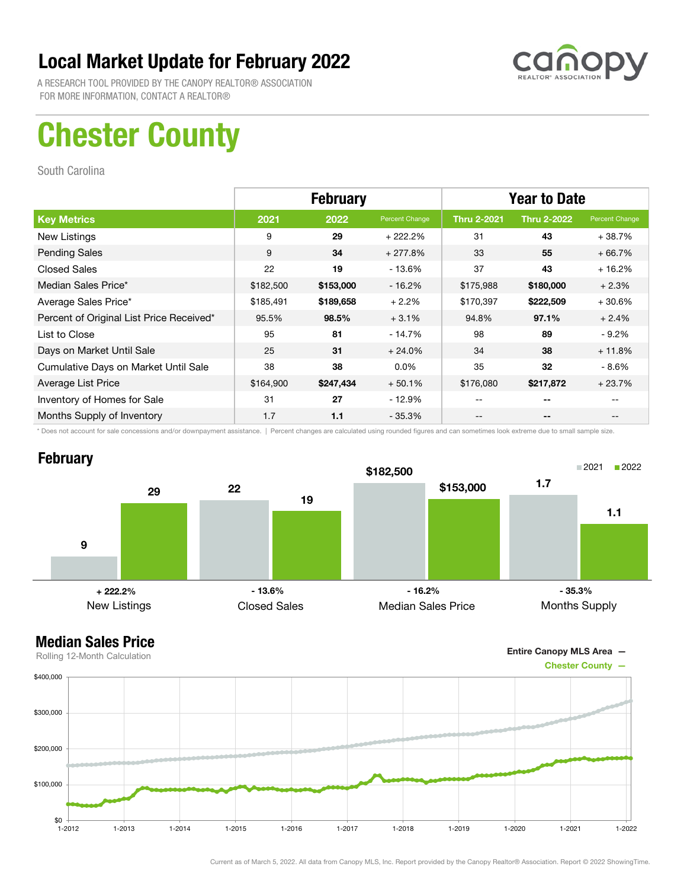

A RESEARCH TOOL PROVIDED BY THE CANOPY REALTOR® ASSOCIATION FOR MORE INFORMATION, CONTACT A REALTOR®

## Chester County

South Carolina

|                                          | <b>February</b> |           |                | <b>Year to Date</b> |                    |                |
|------------------------------------------|-----------------|-----------|----------------|---------------------|--------------------|----------------|
| <b>Key Metrics</b>                       | 2021            | 2022      | Percent Change | <b>Thru 2-2021</b>  | <b>Thru 2-2022</b> | Percent Change |
| New Listings                             | 9               | 29        | $+222.2%$      | 31                  | 43                 | $+38.7%$       |
| <b>Pending Sales</b>                     | 9               | 34        | $+277.8%$      | 33                  | 55                 | $+66.7%$       |
| <b>Closed Sales</b>                      | 22              | 19        | $-13.6%$       | 37                  | 43                 | $+16.2%$       |
| Median Sales Price*                      | \$182,500       | \$153,000 | $-16.2%$       | \$175,988           | \$180,000          | $+2.3%$        |
| Average Sales Price*                     | \$185,491       | \$189,658 | $+2.2%$        | \$170,397           | \$222,509          | $+30.6%$       |
| Percent of Original List Price Received* | 95.5%           | 98.5%     | $+3.1%$        | 94.8%               | 97.1%              | $+2.4%$        |
| List to Close                            | 95              | 81        | $-14.7%$       | 98                  | 89                 | $-9.2\%$       |
| Days on Market Until Sale                | 25              | 31        | $+24.0%$       | 34                  | 38                 | $+11.8%$       |
| Cumulative Days on Market Until Sale     | 38              | 38        | $0.0\%$        | 35                  | 32                 | $-8.6\%$       |
| Average List Price                       | \$164,900       | \$247,434 | $+50.1%$       | \$176,080           | \$217,872          | $+23.7%$       |
| Inventory of Homes for Sale              | 31              | 27        | $-12.9%$       |                     | --                 |                |
| Months Supply of Inventory               | 1.7             | 1.1       | $-35.3%$       |                     | --                 |                |

\* Does not account for sale concessions and/or downpayment assistance. | Percent changes are calculated using rounded figures and can sometimes look extreme due to small sample size.

### **February**



Entire Canopy MLS Area —

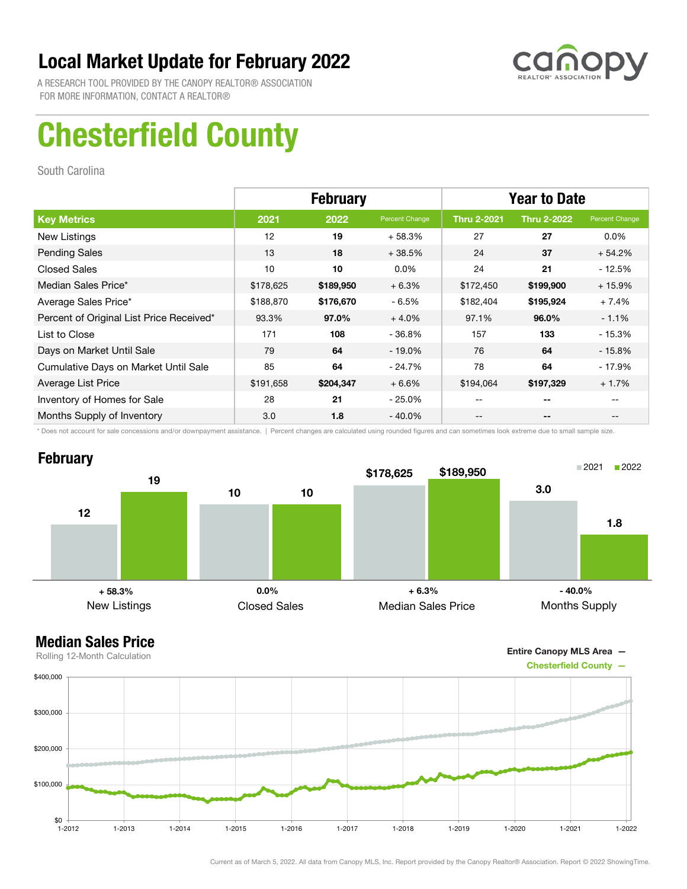

A RESEARCH TOOL PROVIDED BY THE CANOPY REALTOR® ASSOCIATION FOR MORE INFORMATION, CONTACT A REALTOR®

## Chesterfield County

South Carolina

|                                          | <b>February</b> |           |                | <b>Year to Date</b> |                    |                |
|------------------------------------------|-----------------|-----------|----------------|---------------------|--------------------|----------------|
| <b>Key Metrics</b>                       | 2021            | 2022      | Percent Change | <b>Thru 2-2021</b>  | <b>Thru 2-2022</b> | Percent Change |
| New Listings                             | 12              | 19        | $+58.3%$       | 27                  | 27                 | $0.0\%$        |
| <b>Pending Sales</b>                     | 13              | 18        | $+38.5%$       | 24                  | 37                 | $+54.2%$       |
| <b>Closed Sales</b>                      | 10              | 10        | $0.0\%$        | 24                  | 21                 | $-12.5%$       |
| Median Sales Price*                      | \$178,625       | \$189,950 | $+6.3%$        | \$172,450           | \$199,900          | $+15.9%$       |
| Average Sales Price*                     | \$188,870       | \$176,670 | $-6.5%$        | \$182,404           | \$195,924          | $+7.4%$        |
| Percent of Original List Price Received* | 93.3%           | 97.0%     | $+4.0%$        | 97.1%               | 96.0%              | $-1.1%$        |
| List to Close                            | 171             | 108       | - 36.8%        | 157                 | 133                | $-15.3%$       |
| Days on Market Until Sale                | 79              | 64        | $-19.0\%$      | 76                  | 64                 | $-15.8\%$      |
| Cumulative Days on Market Until Sale     | 85              | 64        | $-24.7%$       | 78                  | 64                 | $-17.9%$       |
| Average List Price                       | \$191,658       | \$204,347 | $+6.6%$        | \$194,064           | \$197,329          | $+1.7%$        |
| Inventory of Homes for Sale              | 28              | 21        | $-25.0\%$      |                     | --                 |                |
| Months Supply of Inventory               | 3.0             | 1.8       | $-40.0\%$      | --                  | --                 |                |

\* Does not account for sale concessions and/or downpayment assistance. | Percent changes are calculated using rounded figures and can sometimes look extreme due to small sample size.



Entire Canopy MLS Area —

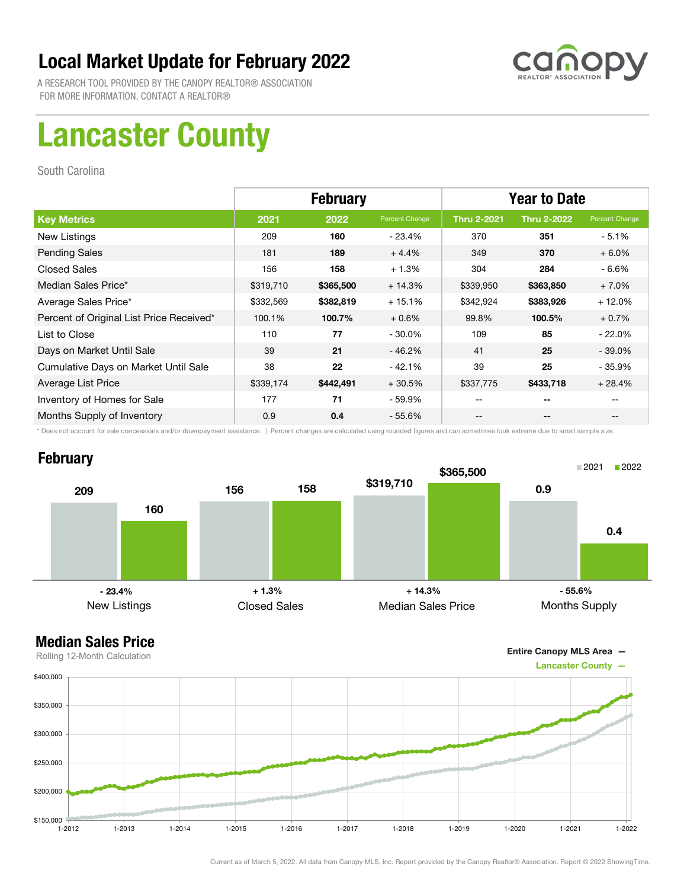

A RESEARCH TOOL PROVIDED BY THE CANOPY REALTOR® ASSOCIATION FOR MORE INFORMATION, CONTACT A REALTOR®

## Lancaster County

South Carolina

|                                          | <b>February</b> |           |                | <b>Year to Date</b> |                    |                |
|------------------------------------------|-----------------|-----------|----------------|---------------------|--------------------|----------------|
| <b>Key Metrics</b>                       | 2021            | 2022      | Percent Change | <b>Thru 2-2021</b>  | <b>Thru 2-2022</b> | Percent Change |
| New Listings                             | 209             | 160       | $-23.4%$       | 370                 | 351                | $-5.1%$        |
| <b>Pending Sales</b>                     | 181             | 189       | $+4.4%$        | 349                 | 370                | $+6.0%$        |
| <b>Closed Sales</b>                      | 156             | 158       | $+1.3%$        | 304                 | 284                | $-6.6%$        |
| Median Sales Price*                      | \$319,710       | \$365,500 | $+14.3%$       | \$339,950           | \$363,850          | $+7.0%$        |
| Average Sales Price*                     | \$332,569       | \$382,819 | $+15.1%$       | \$342,924           | \$383,926          | $+12.0%$       |
| Percent of Original List Price Received* | 100.1%          | 100.7%    | $+0.6%$        | 99.8%               | 100.5%             | $+0.7%$        |
| List to Close                            | 110             | 77        | $-30.0\%$      | 109                 | 85                 | $-22.0\%$      |
| Days on Market Until Sale                | 39              | 21        | $-46.2%$       | 41                  | 25                 | $-39.0\%$      |
| Cumulative Days on Market Until Sale     | 38              | 22        | $-42.1%$       | 39                  | 25                 | $-35.9%$       |
| Average List Price                       | \$339,174       | \$442,491 | $+30.5%$       | \$337,775           | \$433,718          | $+28.4%$       |
| Inventory of Homes for Sale              | 177             | 71        | - 59.9%        | --                  | --                 |                |
| Months Supply of Inventory               | 0.9             | 0.4       | $-55.6\%$      | --                  | --                 |                |

\* Does not account for sale concessions and/or downpayment assistance. | Percent changes are calculated using rounded figures and can sometimes look extreme due to small sample size.

### **February**





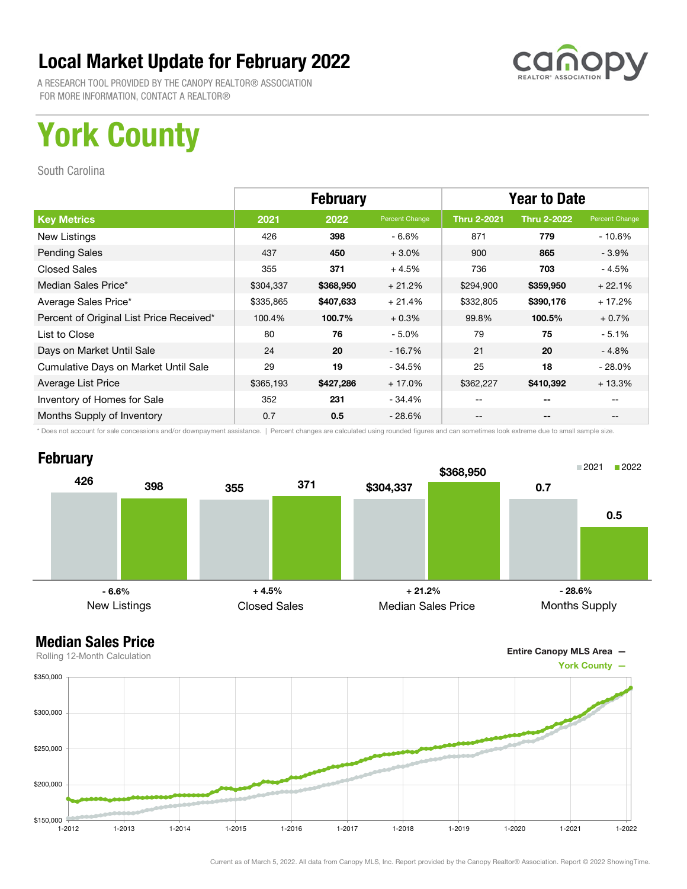

A RESEARCH TOOL PROVIDED BY THE CANOPY REALTOR® ASSOCIATION FOR MORE INFORMATION, CONTACT A REALTOR®

## York County

South Carolina

|                                          | <b>February</b> |           |                | <b>Year to Date</b> |                    |                |
|------------------------------------------|-----------------|-----------|----------------|---------------------|--------------------|----------------|
| <b>Key Metrics</b>                       | 2021            | 2022      | Percent Change | <b>Thru 2-2021</b>  | <b>Thru 2-2022</b> | Percent Change |
| New Listings                             | 426             | 398       | $-6.6%$        | 871                 | 779                | $-10.6%$       |
| <b>Pending Sales</b>                     | 437             | 450       | $+3.0%$        | 900                 | 865                | $-3.9%$        |
| <b>Closed Sales</b>                      | 355             | 371       | $+4.5%$        | 736                 | 703                | - 4.5%         |
| Median Sales Price*                      | \$304,337       | \$368,950 | $+21.2%$       | \$294,900           | \$359,950          | $+22.1%$       |
| Average Sales Price*                     | \$335,865       | \$407,633 | $+21.4%$       | \$332,805           | \$390,176          | $+17.2%$       |
| Percent of Original List Price Received* | 100.4%          | 100.7%    | $+0.3%$        | 99.8%               | 100.5%             | $+0.7%$        |
| List to Close                            | 80              | 76        | $-5.0%$        | 79                  | 75                 | $-5.1%$        |
| Days on Market Until Sale                | 24              | 20        | $-16.7%$       | 21                  | 20                 | $-4.8\%$       |
| Cumulative Days on Market Until Sale     | 29              | 19        | - 34.5%        | 25                  | 18                 | $-28.0\%$      |
| Average List Price                       | \$365,193       | \$427,286 | $+17.0%$       | \$362,227           | \$410,392          | $+13.3%$       |
| Inventory of Homes for Sale              | 352             | 231       | - 34.4%        | --                  | --                 |                |
| Months Supply of Inventory               | 0.7             | 0.5       | $-28.6\%$      | --                  | --                 |                |

\* Does not account for sale concessions and/or downpayment assistance. | Percent changes are calculated using rounded figures and can sometimes look extreme due to small sample size.

#### **February**





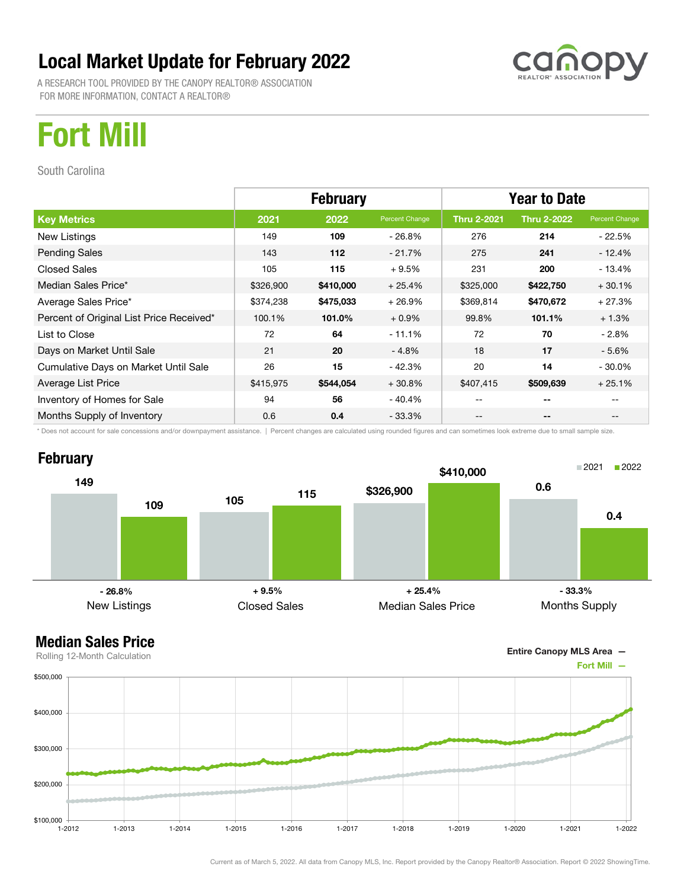A RESEARCH TOOL PROVIDED BY THE CANOPY REALTOR® ASSOCIATION FOR MORE INFORMATION, CONTACT A REALTOR®



## Fort Mill

South Carolina

|                                          | <b>February</b> |           |                | <b>Year to Date</b> |                    |                |
|------------------------------------------|-----------------|-----------|----------------|---------------------|--------------------|----------------|
| <b>Key Metrics</b>                       | 2021            | 2022      | Percent Change | <b>Thru 2-2021</b>  | <b>Thru 2-2022</b> | Percent Change |
| New Listings                             | 149             | 109       | $-26.8\%$      | 276                 | 214                | - 22.5%        |
| <b>Pending Sales</b>                     | 143             | 112       | $-21.7%$       | 275                 | 241                | $-12.4%$       |
| <b>Closed Sales</b>                      | 105             | 115       | $+9.5%$        | 231                 | 200                | $-13.4%$       |
| Median Sales Price*                      | \$326,900       | \$410,000 | $+25.4%$       | \$325,000           | \$422,750          | $+30.1%$       |
| Average Sales Price*                     | \$374,238       | \$475,033 | $+26.9%$       | \$369,814           | \$470,672          | $+27.3%$       |
| Percent of Original List Price Received* | 100.1%          | 101.0%    | $+0.9%$        | 99.8%               | 101.1%             | $+1.3%$        |
| List to Close                            | 72              | 64        | $-11.1%$       | 72                  | 70                 | - 2.8%         |
| Days on Market Until Sale                | 21              | 20        | $-4.8%$        | 18                  | 17                 | $-5.6\%$       |
| Cumulative Days on Market Until Sale     | 26              | 15        | $-42.3%$       | 20                  | 14                 | $-30.0\%$      |
| Average List Price                       | \$415,975       | \$544,054 | $+30.8%$       | \$407,415           | \$509,639          | $+25.1%$       |
| Inventory of Homes for Sale              | 94              | 56        | - 40.4%        |                     | --                 |                |
| Months Supply of Inventory               | 0.6             | 0.4       | $-33.3\%$      | --                  | --                 |                |

\* Does not account for sale concessions and/or downpayment assistance. | Percent changes are calculated using rounded figures and can sometimes look extreme due to small sample size.





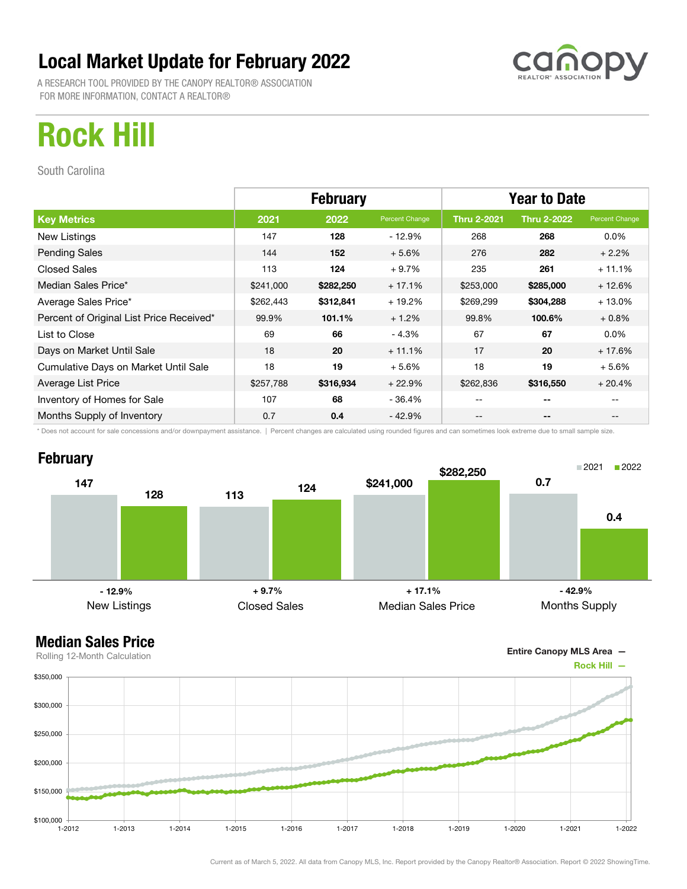A RESEARCH TOOL PROVIDED BY THE CANOPY REALTOR® ASSOCIATION FOR MORE INFORMATION, CONTACT A REALTOR®



## Rock Hill

South Carolina

|                                          | <b>February</b> |           |                | <b>Year to Date</b> |                    |                |  |
|------------------------------------------|-----------------|-----------|----------------|---------------------|--------------------|----------------|--|
| <b>Key Metrics</b>                       | 2021            | 2022      | Percent Change | <b>Thru 2-2021</b>  | <b>Thru 2-2022</b> | Percent Change |  |
| New Listings                             | 147             | 128       | $-12.9%$       | 268                 | 268                | $0.0\%$        |  |
| <b>Pending Sales</b>                     | 144             | 152       | $+5.6%$        | 276                 | 282                | $+2.2%$        |  |
| <b>Closed Sales</b>                      | 113             | 124       | $+9.7%$        | 235                 | 261                | $+11.1%$       |  |
| Median Sales Price*                      | \$241,000       | \$282,250 | $+17.1%$       | \$253,000           | \$285,000          | $+12.6%$       |  |
| Average Sales Price*                     | \$262,443       | \$312,841 | $+19.2%$       | \$269,299           | \$304,288          | $+13.0%$       |  |
| Percent of Original List Price Received* | 99.9%           | 101.1%    | $+1.2%$        | 99.8%               | 100.6%             | $+0.8\%$       |  |
| List to Close                            | 69              | 66        | $-4.3%$        | 67                  | 67                 | $0.0\%$        |  |
| Days on Market Until Sale                | 18              | 20        | $+11.1%$       | 17                  | 20                 | $+17.6%$       |  |
| Cumulative Days on Market Until Sale     | 18              | 19        | $+5.6%$        | 18                  | 19                 | $+5.6%$        |  |
| Average List Price                       | \$257,788       | \$316,934 | $+22.9%$       | \$262,836           | \$316,550          | $+20.4%$       |  |
| Inventory of Homes for Sale              | 107             | 68        | - 36.4%        |                     | --                 |                |  |
| Months Supply of Inventory               | 0.7             | 0.4       | $-42.9%$       | --                  | --                 |                |  |

\* Does not account for sale concessions and/or downpayment assistance. | Percent changes are calculated using rounded figures and can sometimes look extreme due to small sample size.

### **February**



### Median Sales Price

Entire Canopy MLS Area —



Current as of March 5, 2022. All data from Canopy MLS, Inc. Report provided by the Canopy Realtor® Association. Report © 2022 ShowingTime.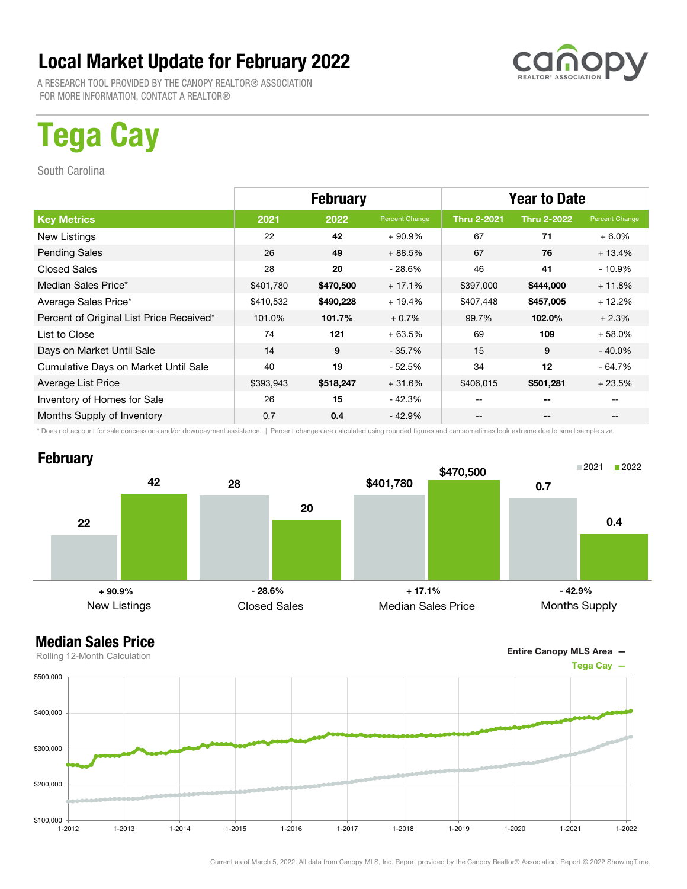A RESEARCH TOOL PROVIDED BY THE CANOPY REALTOR® ASSOCIATION FOR MORE INFORMATION, CONTACT A REALTOR®

## Tega Cay

South Carolina

|                                          | <b>February</b> |           |                | <b>Year to Date</b> |                    |                |
|------------------------------------------|-----------------|-----------|----------------|---------------------|--------------------|----------------|
| <b>Key Metrics</b>                       | 2021            | 2022      | Percent Change | <b>Thru 2-2021</b>  | <b>Thru 2-2022</b> | Percent Change |
| New Listings                             | 22              | 42        | $+90.9%$       | 67                  | 71                 | $+6.0%$        |
| <b>Pending Sales</b>                     | 26              | 49        | $+88.5%$       | 67                  | 76                 | $+13.4%$       |
| <b>Closed Sales</b>                      | 28              | 20        | - 28.6%        | 46                  | 41                 | $-10.9%$       |
| Median Sales Price*                      | \$401,780       | \$470,500 | $+17.1%$       | \$397,000           | \$444,000          | $+11.8%$       |
| Average Sales Price*                     | \$410,532       | \$490,228 | $+19.4%$       | \$407,448           | \$457,005          | $+12.2%$       |
| Percent of Original List Price Received* | 101.0%          | 101.7%    | $+0.7%$        | 99.7%               | 102.0%             | $+2.3%$        |
| List to Close                            | 74              | 121       | $+63.5%$       | 69                  | 109                | $+58.0%$       |
| Days on Market Until Sale                | 14              | 9         | $-35.7%$       | 15                  | 9                  | $-40.0\%$      |
| Cumulative Days on Market Until Sale     | 40              | 19        | - 52.5%        | 34                  | 12                 | $-64.7%$       |
| Average List Price                       | \$393,943       | \$518,247 | $+31.6%$       | \$406,015           | \$501,281          | $+23.5%$       |
| Inventory of Homes for Sale              | 26              | 15        | - 42.3%        |                     | --                 |                |
| Months Supply of Inventory               | 0.7             | 0.4       | - 42.9%        | --                  | --                 |                |

\* Does not account for sale concessions and/or downpayment assistance. | Percent changes are calculated using rounded figures and can sometimes look extreme due to small sample size.

#### **February**



Entire Canopy MLS Area —